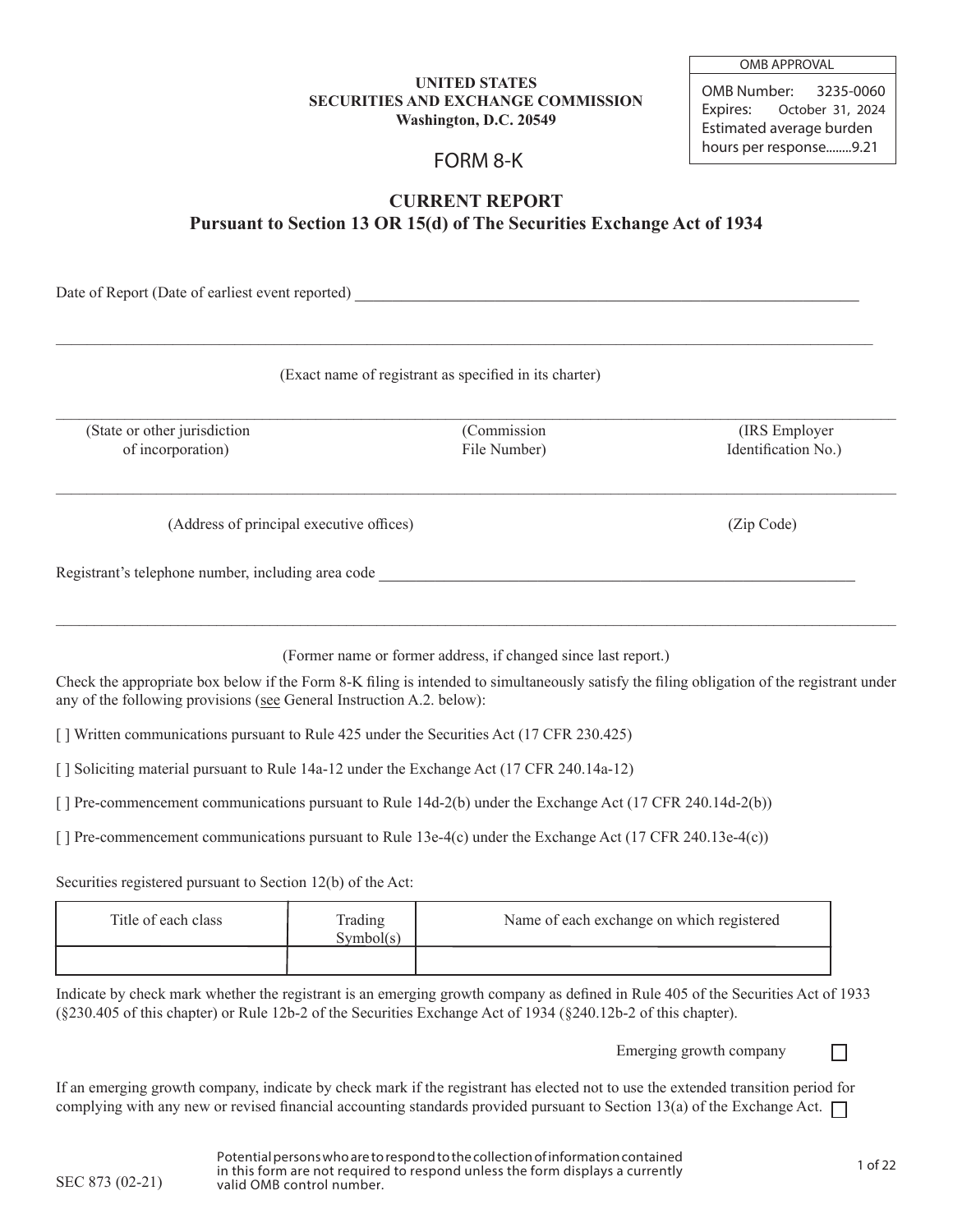# **UNITED STATES SECURITIES AND EXCHANGE COMMISSION Washington, D.C. 20549**

# FORM 8-K

# OMB APPROVAL OMB Number: 3235-0060 Expires: October 31, 2024 Estimated average burden hours per response........9.21

# **CURRENT REPORT Pursuant to Section 13 OR 15(d) of The Securities Exchange Act of 1934**

Date of Report (Date of earliest event reported)

(Exact name of registrant as specified in its charter)

(State or other jurisdiction (Commission (IRS Employer of incorporation) File Number) File Number and Telementary in the Identification No.

(Address of principal executive offices) (Zip Code)

Registrant's telephone number, including area code

(Former name or former address, if changed since last report.)

 $\mathcal{L}_\mathcal{L} = \mathcal{L}_\mathcal{L} = \mathcal{L}_\mathcal{L} = \mathcal{L}_\mathcal{L} = \mathcal{L}_\mathcal{L} = \mathcal{L}_\mathcal{L} = \mathcal{L}_\mathcal{L} = \mathcal{L}_\mathcal{L} = \mathcal{L}_\mathcal{L} = \mathcal{L}_\mathcal{L} = \mathcal{L}_\mathcal{L} = \mathcal{L}_\mathcal{L} = \mathcal{L}_\mathcal{L} = \mathcal{L}_\mathcal{L} = \mathcal{L}_\mathcal{L} = \mathcal{L}_\mathcal{L} = \mathcal{L}_\mathcal{L}$ 

Check the appropriate box below if the Form 8-K filing is intended to simultaneously satisfy the filing obligation of the registrant under any of the following provisions (see General Instruction A.2. below):

[ ] Written communications pursuant to Rule 425 under the Securities Act (17 CFR 230.425)

[ ] Soliciting material pursuant to Rule 14a-12 under the Exchange Act (17 CFR 240.14a-12)

[ ] Pre-commencement communications pursuant to Rule 14d-2(b) under the Exchange Act (17 CFR 240.14d-2(b))

[] Pre-commencement communications pursuant to Rule 13e-4(c) under the Exchange Act (17 CFR 240.13e-4(c))

Securities registered pursuant to Section 12(b) of the Act:

| Title of each class | Trading<br>Symbol(s) | Name of each exchange on which registered |
|---------------------|----------------------|-------------------------------------------|
|                     |                      |                                           |

Indicate by check mark whether the registrant is an emerging growth company as defined in Rule 405 of the Securities Act of 1933 (§230.405 of this chapter) or Rule 12b-2 of the Securities Exchange Act of 1934 (§240.12b-2 of this chapter).

Emerging growth company

If an emerging growth company, indicate by check mark if the registrant has elected not to use the extended transition period for complying with any new or revised financial accounting standards provided pursuant to Section 13(a) of the Exchange Act.  $\Box$ 

П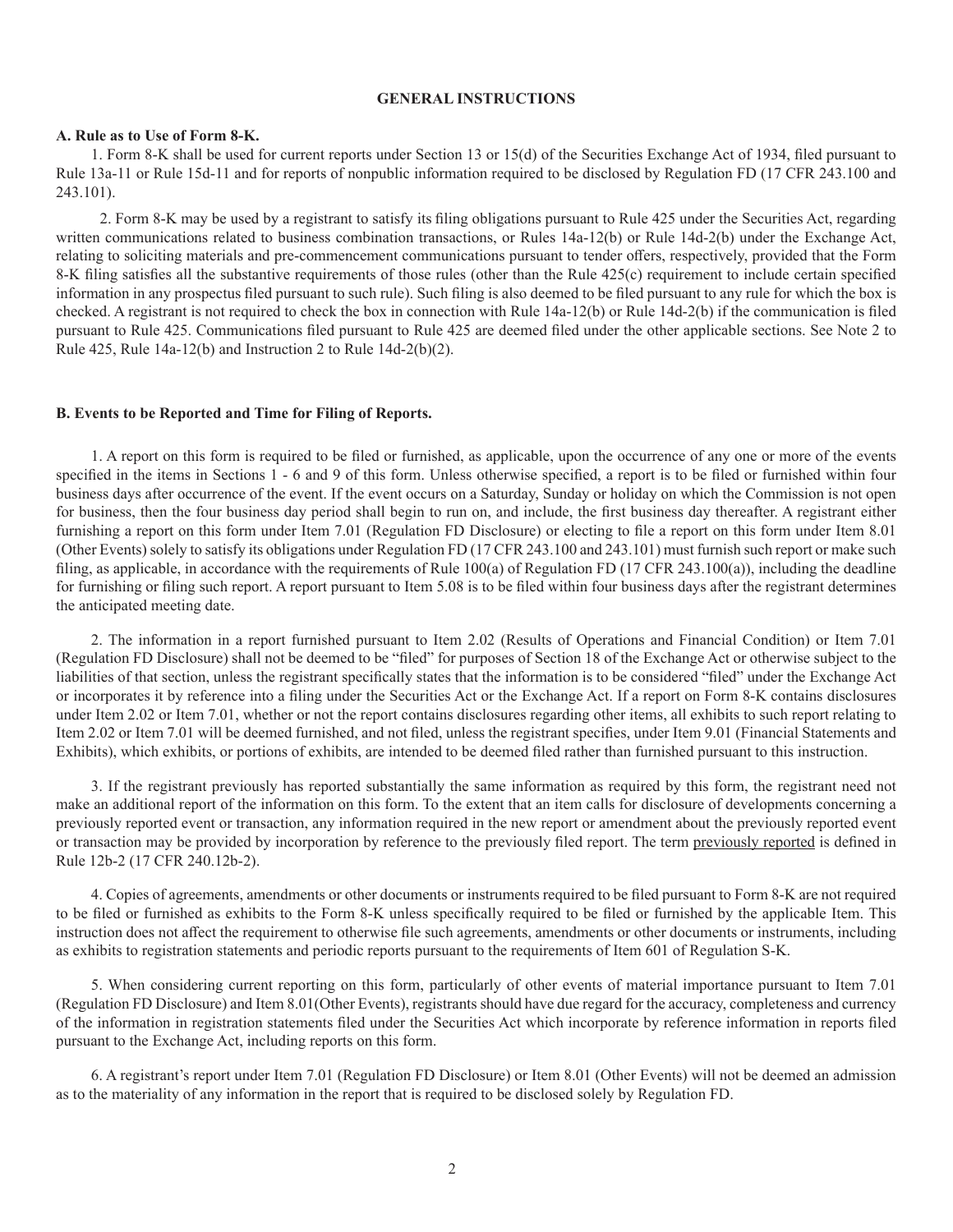#### **GENERAL INSTRUCTIONS**

### **A. Rule as to Use of Form 8-K.**

1. Form 8-K shall be used for current reports under Section 13 or 15(d) of the Securities Exchange Act of 1934, filed pursuant to Rule 13a-11 or Rule 15d-11 and for reports of nonpublic information required to be disclosed by Regulation FD (17 CFR 243.100 and 243.101).

2. Form 8-K may be used by a registrant to satisfy its filing obligations pursuant to Rule 425 under the Securities Act, regarding written communications related to business combination transactions, or Rules 14a-12(b) or Rule 14d-2(b) under the Exchange Act, relating to soliciting materials and pre-commencement communications pursuant to tender offers, respectively, provided that the Form 8-K filing satisfies all the substantive requirements of those rules (other than the Rule  $425(c)$  requirement to include certain specified information in any prospectus filed pursuant to such rule). Such filing is also deemed to be filed pursuant to any rule for which the box is checked. A registrant is not required to check the box in connection with Rule 14a-12(b) or Rule 14d-2(b) if the communication is filed pursuant to Rule 425. Communications filed pursuant to Rule 425 are deemed filed under the other applicable sections. See Note 2 to Rule 425, Rule 14a-12(b) and Instruction 2 to Rule 14d-2(b)(2).

#### **B. Events to be Reported and Time for Filing of Reports.**

1. A report on this form is required to be filed or furnished, as applicable, upon the occurrence of any one or more of the events specified in the items in Sections 1 - 6 and 9 of this form. Unless otherwise specified, a report is to be filed or furnished within four business days after occurrence of the event. If the event occurs on a Saturday, Sunday or holiday on which the Commission is not open for business, then the four business day period shall begin to run on, and include, the first business day thereafter. A registrant either furnishing a report on this form under Item 7.01 (Regulation FD Disclosure) or electing to file a report on this form under Item 8.01 (Other Events) solely to satisfy its obligations under Regulation FD (17 CFR 243.100 and 243.101) must furnish such report or make such filing, as applicable, in accordance with the requirements of Rule 100(a) of Regulation FD (17 CFR 243.100(a)), including the deadline for furnishing or filing such report. A report pursuant to Item 5.08 is to be filed within four business days after the registrant determines the anticipated meeting date.

2. The information in a report furnished pursuant to Item 2.02 (Results of Operations and Financial Condition) or Item 7.01 (Regulation FD Disclosure) shall not be deemed to be "filed" for purposes of Section 18 of the Exchange Act or otherwise subject to the liabilities of that section, unless the registrant specifically states that the information is to be considered "filed" under the Exchange Act or incorporates it by reference into a filing under the Securities Act or the Exchange Act. If a report on Form 8-K contains disclosures under Item 2.02 or Item 7.01, whether or not the report contains disclosures regarding other items, all exhibits to such report relating to Item 2.02 or Item 7.01 will be deemed furnished, and not filed, unless the registrant specifies, under Item 9.01 (Financial Statements and Exhibits), which exhibits, or portions of exhibits, are intended to be deemed filed rather than furnished pursuant to this instruction.

3. If the registrant previously has reported substantially the same information as required by this form, the registrant need not make an additional report of the information on this form. To the extent that an item calls for disclosure of developments concerning a previously reported event or transaction, any information required in the new report or amendment about the previously reported event or transaction may be provided by incorporation by reference to the previously filed report. The term previously reported is defined in Rule 12b-2 (17 CFR 240.12b-2).

4. Copies of agreements, amendments or other documents or instruments required to be filed pursuant to Form 8-K are not required to be filed or furnished as exhibits to the Form 8-K unless specifically required to be filed or furnished by the applicable Item. This instruction does not affect the requirement to otherwise file such agreements, amendments or other documents or instruments, including as exhibits to registration statements and periodic reports pursuant to the requirements of Item 601 of Regulation S-K.

5. When considering current reporting on this form, particularly of other events of material importance pursuant to Item 7.01 (Regulation FD Disclosure) and Item 8.01(Other Events), registrants should have due regard for the accuracy, completeness and currency of the information in registration statements filed under the Securities Act which incorporate by reference information in reports filed pursuant to the Exchange Act, including reports on this form.

6. A registrant's report under Item 7.01 (Regulation FD Disclosure) or Item 8.01 (Other Events) will not be deemed an admission as to the materiality of any information in the report that is required to be disclosed solely by Regulation FD.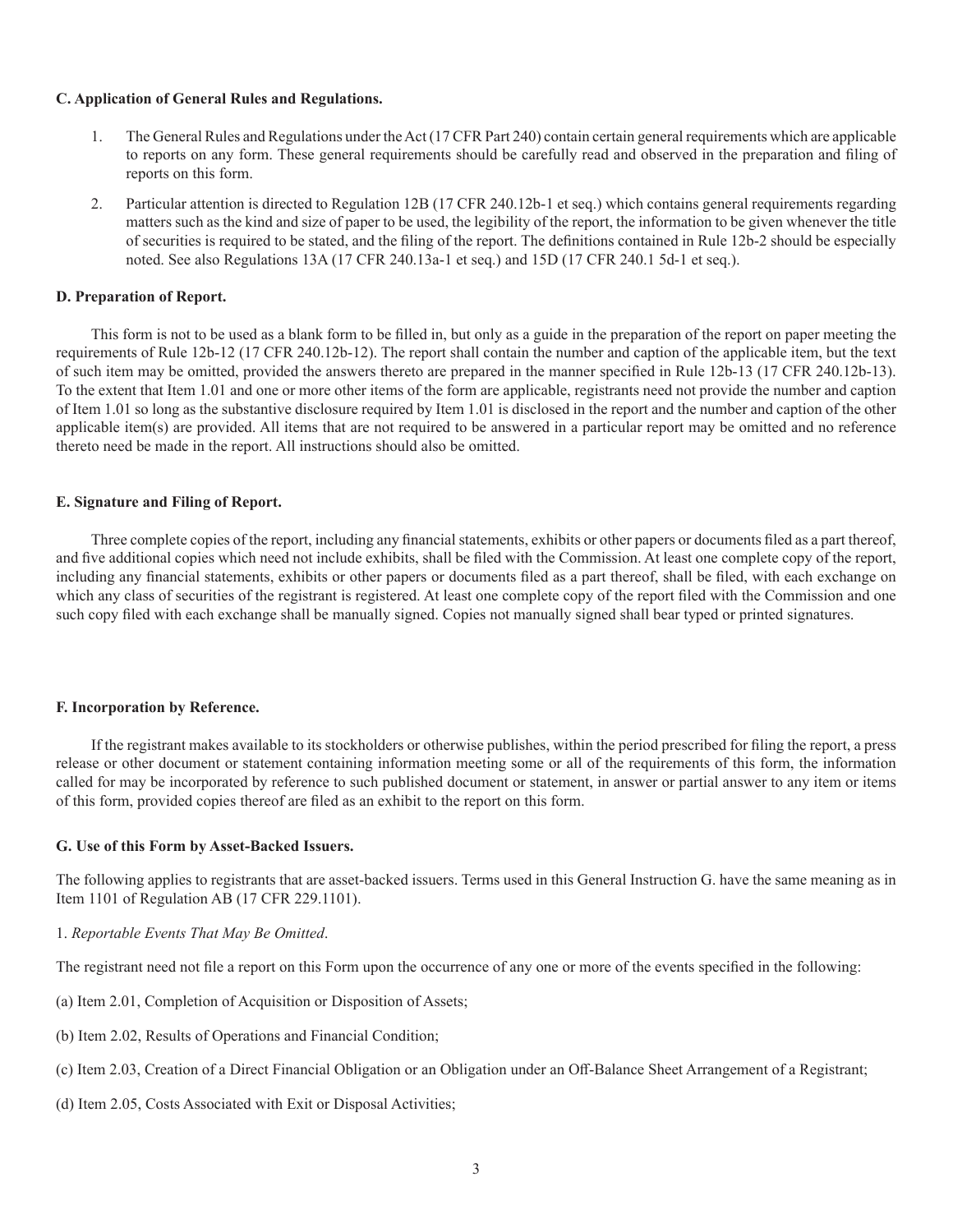### **C. Application of General Rules and Regulations.**

- 1. The General Rules and Regulations under the Act (17 CFR Part 240) contain certain general requirements which are applicable to reports on any form. These general requirements should be carefully read and observed in the preparation and filing of reports on this form.
- 2. Particular attention is directed to Regulation 12B (17 CFR 240.12b-1 et seq.) which contains general requirements regarding matters such as the kind and size of paper to be used, the legibility of the report, the information to be given whenever the title of securities is required to be stated, and the filing of the report. The definitions contained in Rule 12b-2 should be especially noted. See also Regulations 13A (17 CFR 240.13a-1 et seq.) and 15D (17 CFR 240.1 5d-1 et seq.).

### **D. Preparation of Report.**

This form is not to be used as a blank form to be filled in, but only as a guide in the preparation of the report on paper meeting the requirements of Rule 12b-12 (17 CFR 240.12b-12). The report shall contain the number and caption of the applicable item, but the text of such item may be omitted, provided the answers thereto are prepared in the manner specified in Rule 12b-13 (17 CFR 240.12b-13). To the extent that Item 1.01 and one or more other items of the form are applicable, registrants need not provide the number and caption of Item 1.01 so long as the substantive disclosure required by Item 1.01 is disclosed in the report and the number and caption of the other applicable item(s) are provided. All items that are not required to be answered in a particular report may be omitted and no reference thereto need be made in the report. All instructions should also be omitted.

### **E. Signature and Filing of Report.**

Three complete copies of the report, including any financial statements, exhibits or other papers or documents filed as a part thereof, and five additional copies which need not include exhibits, shall be filed with the Commission. At least one complete copy of the report, including any financial statements, exhibits or other papers or documents filed as a part thereof, shall be filed, with each exchange on which any class of securities of the registrant is registered. At least one complete copy of the report filed with the Commission and one such copy filed with each exchange shall be manually signed. Copies not manually signed shall bear typed or printed signatures.

### **F. Incorporation by Reference.**

If the registrant makes available to its stockholders or otherwise publishes, within the period prescribed for filing the report, a press release or other document or statement containing information meeting some or all of the requirements of this form, the information called for may be incorporated by reference to such published document or statement, in answer or partial answer to any item or items of this form, provided copies thereof are filed as an exhibit to the report on this form.

### **G. Use of this Form by Asset-Backed Issuers.**

The following applies to registrants that are asset-backed issuers. Terms used in this General Instruction G. have the same meaning as in Item 1101 of Regulation AB (17 CFR 229.1101).

- 1. *Reportable Events That May Be Omitted*.
- The registrant need not file a report on this Form upon the occurrence of any one or more of the events specified in the following:
- (a) Item 2.01, Completion of Acquisition or Disposition of Assets;
- (b) Item 2.02, Results of Operations and Financial Condition;
- (c) Item 2.03, Creation of a Direct Financial Obligation or an Obligation under an Off-Balance Sheet Arrangement of a Registrant;
- (d) Item 2.05, Costs Associated with Exit or Disposal Activities;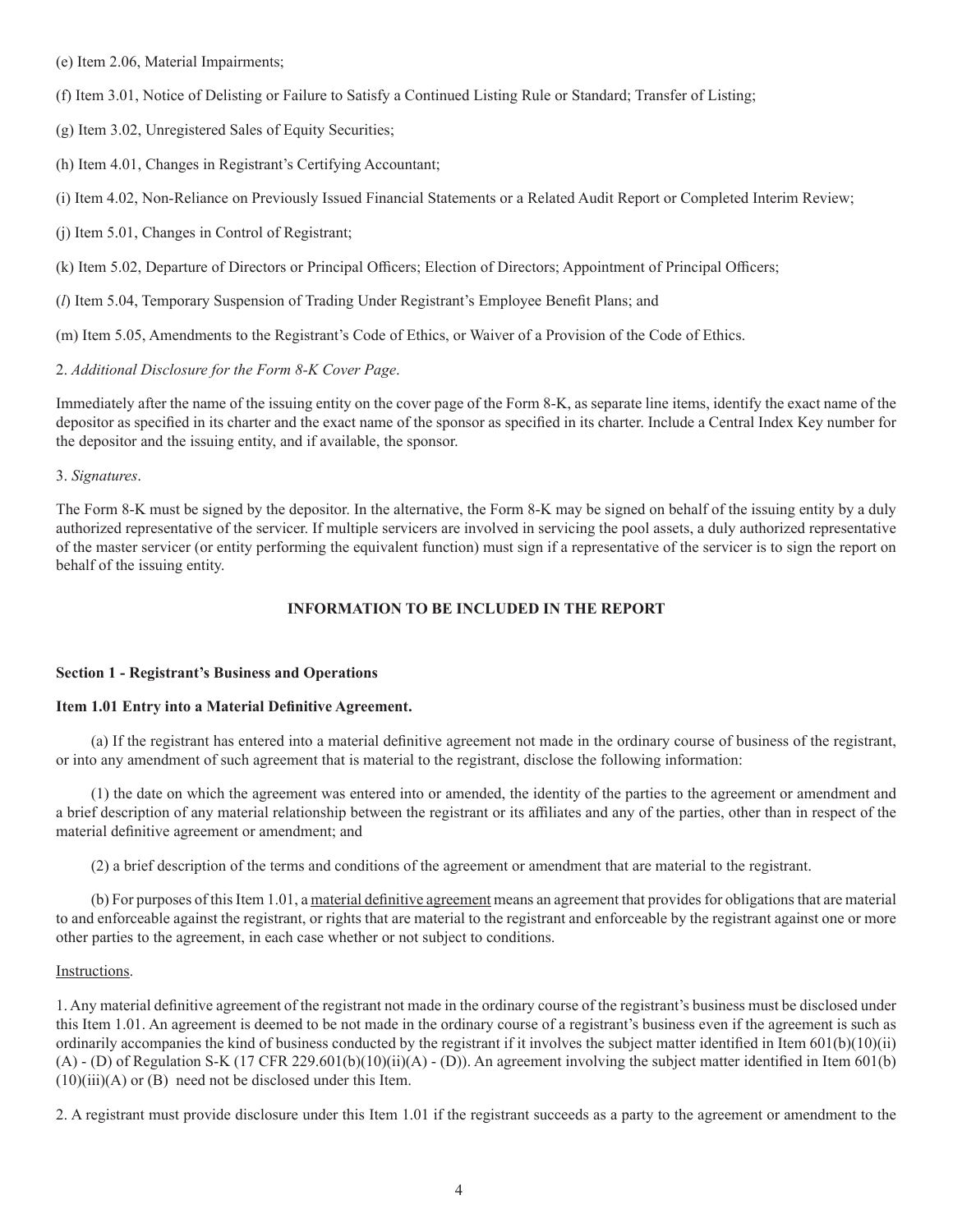(e) Item 2.06, Material Impairments;

(f) Item 3.01, Notice of Delisting or Failure to Satisfy a Continued Listing Rule or Standard; Transfer of Listing;

- (g) Item 3.02, Unregistered Sales of Equity Securities;
- (h) Item 4.01, Changes in Registrant's Certifying Accountant;
- (i) Item 4.02, Non-Reliance on Previously Issued Financial Statements or a Related Audit Report or Completed Interim Review;
- (j) Item 5.01, Changes in Control of Registrant;
- (k) Item 5.02, Departure of Directors or Principal Officers; Election of Directors; Appointment of Principal Officers;
- (*l*) Item 5.04, Temporary Suspension of Trading Under Registrant's Employee Benefit Plans; and
- (m) Item 5.05, Amendments to the Registrant's Code of Ethics, or Waiver of a Provision of the Code of Ethics.
- 2. *Additional Disclosure for the Form 8-K Cover Page*.

Immediately after the name of the issuing entity on the cover page of the Form 8-K, as separate line items, identify the exact name of the depositor as specified in its charter and the exact name of the sponsor as specified in its charter. Include a Central Index Key number for the depositor and the issuing entity, and if available, the sponsor.

### 3. *Signatures*.

The Form 8-K must be signed by the depositor. In the alternative, the Form 8-K may be signed on behalf of the issuing entity by a duly authorized representative of the servicer. If multiple servicers are involved in servicing the pool assets, a duly authorized representative of the master servicer (or entity performing the equivalent function) must sign if a representative of the servicer is to sign the report on behalf of the issuing entity.

# **INFORMATION TO BE INCLUDED IN THE REPORT**

# **Section 1 - Registrant's Business and Operations**

# Item 1.01 Entry into a Material Definitive Agreement.

(a) If the registrant has entered into a material definitive agreement not made in the ordinary course of business of the registrant, or into any amendment of such agreement that is material to the registrant, disclose the following information:

 a brief description of any material relationship between the registrant or its affiliates and any of the parties, other than in respect of the (1) the date on which the agreement was entered into or amended, the identity of the parties to the agreement or amendment and material definitive agreement or amendment; and

(2) a brief description of the terms and conditions of the agreement or amendment that are material to the registrant.

(b) For purposes of this Item 1.01, a material definitive agreement means an agreement that provides for obligations that are material to and enforceable against the registrant, or rights that are material to the registrant and enforceable by the registrant against one or more other parties to the agreement, in each case whether or not subject to conditions.

### Instructions.

1. Any material definitive agreement of the registrant not made in the ordinary course of the registrant's business must be disclosed under this Item 1.01. An agreement is deemed to be not made in the ordinary course of a registrant's business even if the agreement is such as ordinarily accompanies the kind of business conducted by the registrant if it involves the subject matter identified in Item  $601(b)(10)(ii)$  $(A)$  - (D) of Regulation S-K (17 CFR 229.601(b)(10)(ii)(A) - (D)). An agreement involving the subject matter identified in Item 601(b)  $(10)(iii)(A)$  or  $(B)$  need not be disclosed under this Item.

2. A registrant must provide disclosure under this Item 1.01 if the registrant succeeds as a party to the agreement or amendment to the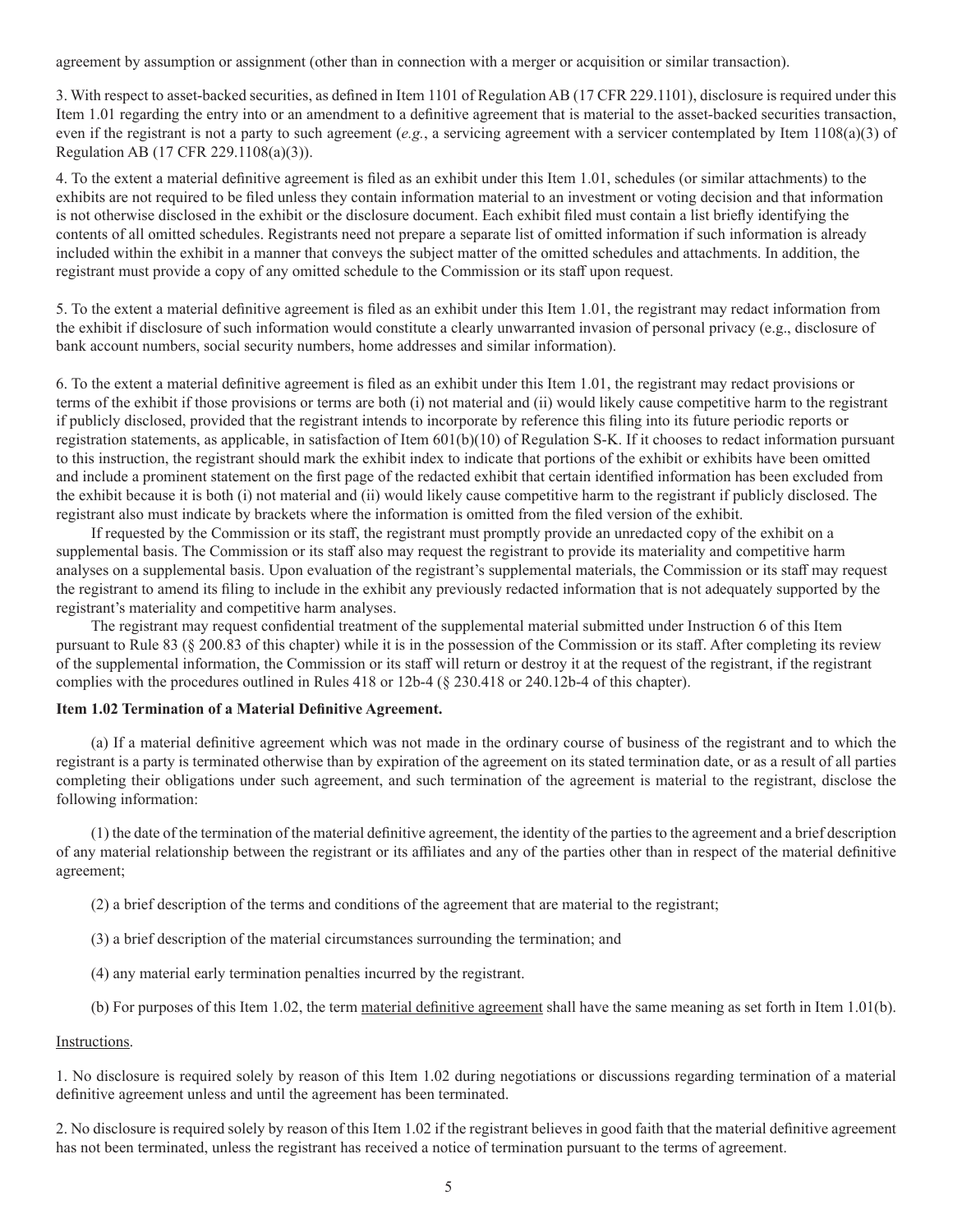agreement by assumption or assignment (other than in connection with a merger or acquisition or similar transaction).

3. With respect to asset-backed securities, as defined in Item 1101 of Regulation AB (17 CFR 229.1101), disclosure is required under this Item 1.01 regarding the entry into or an amendment to a definitive agreement that is material to the asset-backed securities transaction, even if the registrant is not a party to such agreement (*e.g.*, a servicing agreement with a servicer contemplated by Item 1108(a)(3) of Regulation AB (17 CFR 229.1108(a)(3)).

4. To the extent a material definitive agreement is filed as an exhibit under this Item 1.01, schedules (or similar attachments) to the exhibits are not required to be filed unless they contain information material to an investment or voting decision and that information is not otherwise disclosed in the exhibit or the disclosure document. Each exhibit filed must contain a list briefly identifying the contents of all omitted schedules. Registrants need not prepare a separate list of omitted information if such information is already included within the exhibit in a manner that conveys the subject matter of the omitted schedules and attachments. In addition, the registrant must provide a copy of any omitted schedule to the Commission or its staff upon request.

5. To the extent a material definitive agreement is filed as an exhibit under this Item 1.01, the registrant may redact information from the exhibit if disclosure of such information would constitute a clearly unwarranted invasion of personal privacy (e.g., disclosure of bank account numbers, social security numbers, home addresses and similar information).

6. To the extent a material definitive agreement is filed as an exhibit under this Item 1.01, the registrant may redact provisions or terms of the exhibit if those provisions or terms are both (i) not material and (ii) would likely cause competitive harm to the registrant if publicly disclosed, provided that the registrant intends to incorporate by reference this filing into its future periodic reports or registration statements, as applicable, in satisfaction of Item 601(b)(10) of Regulation S-K. If it chooses to redact information pursuant to this instruction, the registrant should mark the exhibit index to indicate that portions of the exhibit or exhibits have been omitted and include a prominent statement on the first page of the redacted exhibit that certain identified information has been excluded from the exhibit because it is both (i) not material and (ii) would likely cause competitive harm to the registrant if publicly disclosed. The registrant also must indicate by brackets where the information is omitted from the filed version of the exhibit.

If requested by the Commission or its staff, the registrant must promptly provide an unredacted copy of the exhibit on a supplemental basis. The Commission or its staff also may request the registrant to provide its materiality and competitive harm analyses on a supplemental basis. Upon evaluation of the registrant's supplemental materials, the Commission or its staff may request the registrant to amend its filing to include in the exhibit any previously redacted information that is not adequately supported by the registrant's materiality and competitive harm analyses.

The registrant may request confidential treatment of the supplemental material submitted under Instruction 6 of this Item pursuant to Rule 83 (§ 200.83 of this chapter) while it is in the possession of the Commission or its staff. After completing its review of the supplemental information, the Commission or its staff will return or destroy it at the request of the registrant, if the registrant complies with the procedures outlined in Rules 418 or 12b-4 (§ 230.418 or 240.12b-4 of this chapter).

### Item 1.02 Termination of a Material Definitive Agreement.

(a) If a material definitive agreement which was not made in the ordinary course of business of the registrant and to which the registrant is a party is terminated otherwise than by expiration of the agreement on its stated termination date, or as a result of all parties completing their obligations under such agreement, and such termination of the agreement is material to the registrant, disclose the following information:

(1) the date of the termination of the material definitive agreement, the identity of the parties to the agreement and a brief description of any material relationship between the registrant or its affiliates and any of the parties other than in respect of the material definitive agreement;

- (2) a brief description of the terms and conditions of the agreement that are material to the registrant;
- (3) a brief description of the material circumstances surrounding the termination; and
- (4) any material early termination penalties incurred by the registrant.
- (b) For purposes of this Item 1.02, the term material definitive agreement shall have the same meaning as set forth in Item 1.01(b).

#### Instructions.

1. No disclosure is required solely by reason of this Item 1.02 during negotiations or discussions regarding termination of a material definitive agreement unless and until the agreement has been terminated.

2. No disclosure is required solely by reason of this Item 1.02 if the registrant believes in good faith that the material definitive agreement has not been terminated, unless the registrant has received a notice of termination pursuant to the terms of agreement.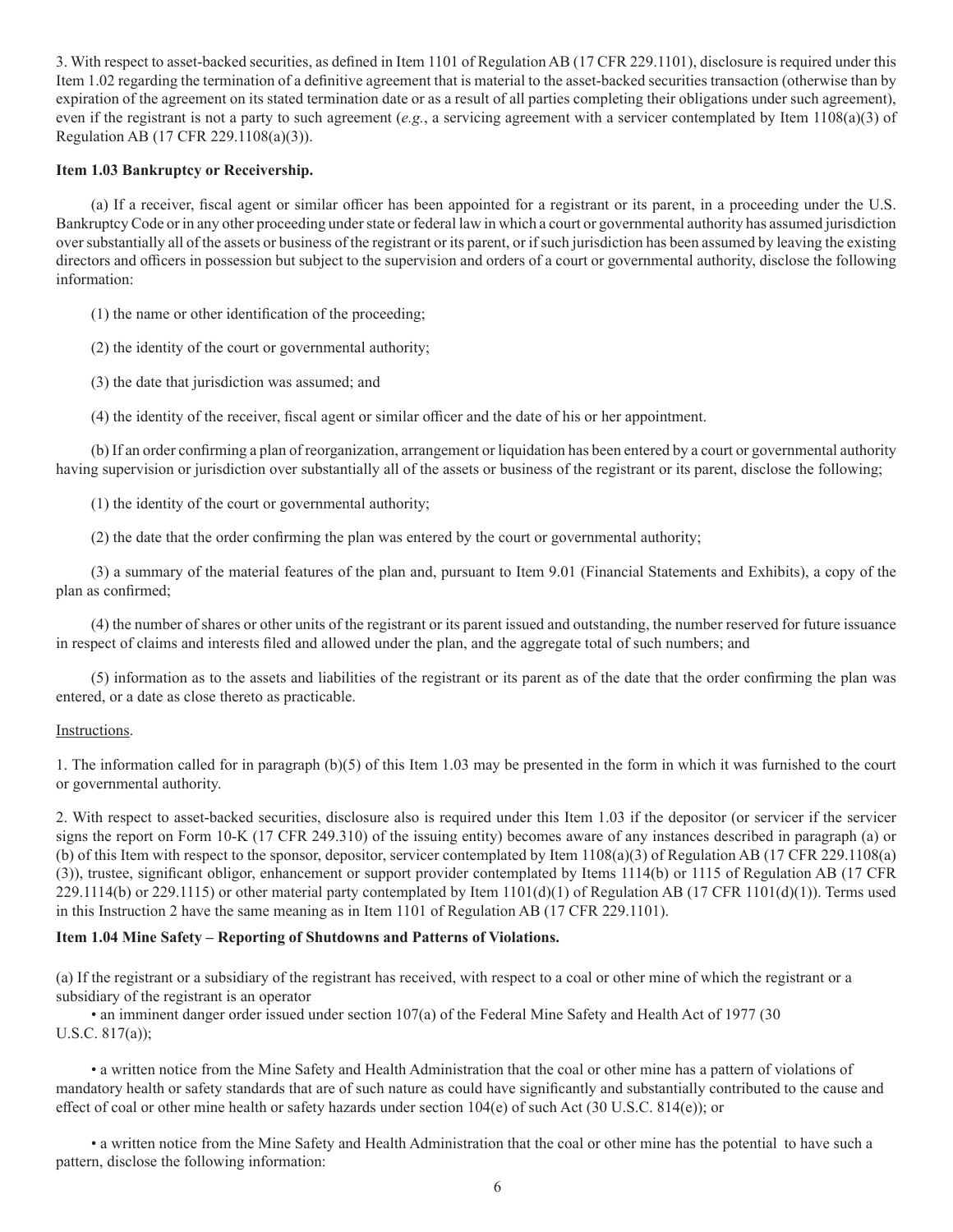3. With respect to asset-backed securities, as defined in Item 1101 of Regulation AB (17 CFR 229.1101), disclosure is required under this Item 1.02 regarding the termination of a definitive agreement that is material to the asset-backed securities transaction (otherwise than by expiration of the agreement on its stated termination date or as a result of all parties completing their obligations under such agreement), even if the registrant is not a party to such agreement (*e.g.*, a servicing agreement with a servicer contemplated by Item 1108(a)(3) of Regulation AB (17 CFR 229.1108(a)(3)).

### **Item 1.03 Bankruptcy or Receivership.**

 (a) If a receiver, fiscal agent or similar officer has been appointed for a registrant or its parent, in a proceeding under the U.S. directors and officers in possession but subject to the supervision and orders of a court or governmental authority, disclose the following Bankruptcy Code or in any other proceeding under state or federal law in which a court or governmental authority has assumed jurisdiction over substantially all of the assets or business of the registrant or its parent, or if such jurisdiction has been assumed by leaving the existing information:

- (1) the name or other identification of the proceeding;
- (2) the identity of the court or governmental authority;
- (3) the date that jurisdiction was assumed; and
- (4) the identity of the receiver, fiscal agent or similar officer and the date of his or her appointment.

(b) If an order confirming a plan of reorganization, arrangement or liquidation has been entered by a court or governmental authority having supervision or jurisdiction over substantially all of the assets or business of the registrant or its parent, disclose the following;

(1) the identity of the court or governmental authority;

(2) the date that the order confirming the plan was entered by the court or governmental authority;

(3) a summary of the material features of the plan and, pursuant to Item 9.01 (Financial Statements and Exhibits), a copy of the plan as confirmed;

(4) the number of shares or other units of the registrant or its parent issued and outstanding, the number reserved for future issuance in respect of claims and interests filed and allowed under the plan, and the aggregate total of such numbers; and

(5) information as to the assets and liabilities of the registrant or its parent as of the date that the order confirming the plan was entered, or a date as close thereto as practicable.

### Instructions.

1. The information called for in paragraph (b)(5) of this Item 1.03 may be presented in the form in which it was furnished to the court or governmental authority.

2. With respect to asset-backed securities, disclosure also is required under this Item 1.03 if the depositor (or servicer if the servicer signs the report on Form 10-K (17 CFR 249.310) of the issuing entity) becomes aware of any instances described in paragraph (a) or (b) of this Item with respect to the sponsor, depositor, servicer contemplated by Item 1108(a)(3) of Regulation AB (17 CFR 229.1108(a) (3)), trustee, significant obligor, enhancement or support provider contemplated by Items 1114(b) or 1115 of Regulation AB (17 CFR 229.1114(b) or 229.1115) or other material party contemplated by Item  $1101(d)(1)$  of Regulation AB (17 CFR 1101(d)(1)). Terms used in this Instruction 2 have the same meaning as in Item 1101 of Regulation AB (17 CFR 229.1101).

# **Item 1.04 Mine Safety – Reporting of Shutdowns and Patterns of Violations.**

(a) If the registrant or a subsidiary of the registrant has received, with respect to a coal or other mine of which the registrant or a subsidiary of the registrant is an operator

• an imminent danger order issued under section 107(a) of the Federal Mine Safety and Health Act of 1977 (30 U.S.C. 817(a));

• a written notice from the Mine Safety and Health Administration that the coal or other mine has a pattern of violations of mandatory health or safety standards that are of such nature as could have significantly and substantially contributed to the cause and effect of coal or other mine health or safety hazards under section 104(e) of such Act (30 U.S.C. 814(e)); or

• a written notice from the Mine Safety and Health Administration that the coal or other mine has the potential to have such a pattern, disclose the following information: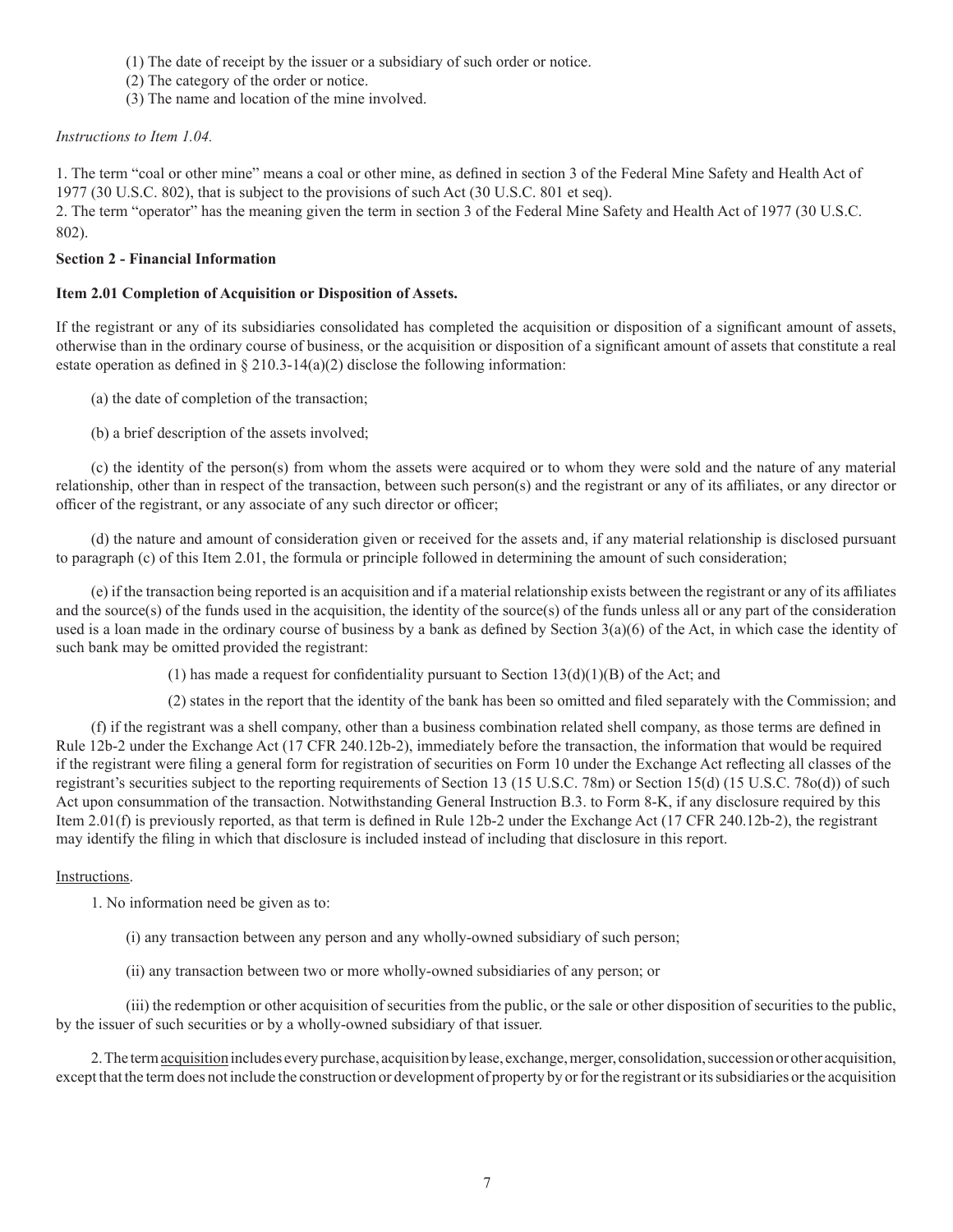- (1) The date of receipt by the issuer or a subsidiary of such order or notice.
- (2) The category of the order or notice.
- (3) The name and location of the mine involved.

# *Instructions to Item 1.04.*

1. The term "coal or other mine" means a coal or other mine, as defined in section 3 of the Federal Mine Safety and Health Act of 1977 (30 U.S.C. 802), that is subject to the provisions of such Act (30 U.S.C. 801 et seq).

2. The term "operator" has the meaning given the term in section 3 of the Federal Mine Safety and Health Act of 1977 (30 U.S.C. 802).

### **Section 2 - Financial Information**

### **Item 2.01 Completion of Acquisition or Disposition of Assets.**

If the registrant or any of its subsidiaries consolidated has completed the acquisition or disposition of a significant amount of assets, otherwise than in the ordinary course of business, or the acquisition or disposition of a significant amount of assets that constitute a real estate operation as defined in  $\S 210.3-14(a)(2)$  disclose the following information:

- (a) the date of completion of the transaction;
- (b) a brief description of the assets involved;

 relationship, other than in respect of the transaction, between such person(s) and the registrant or any of its affiliates, or any director or officer of the registrant, or any associate of any such director or officer; (c) the identity of the person(s) from whom the assets were acquired or to whom they were sold and the nature of any material

(d) the nature and amount of consideration given or received for the assets and, if any material relationship is disclosed pursuant to paragraph (c) of this Item 2.01, the formula or principle followed in determining the amount of such consideration;

(e) if the transaction being reported is an acquisition and if a material relationship exists between the registrant or any of its affiliates and the source(s) of the funds used in the acquisition, the identity of the source(s) of the funds unless all or any part of the consideration used is a loan made in the ordinary course of business by a bank as defined by Section 3(a)(6) of the Act, in which case the identity of such bank may be omitted provided the registrant:

(1) has made a request for confidentiality pursuant to Section  $13(d)(1)(B)$  of the Act; and

(2) states in the report that the identity of the bank has been so omitted and filed separately with the Commission; and

(f) if the registrant was a shell company, other than a business combination related shell company, as those terms are defined in Rule 12b-2 under the Exchange Act (17 CFR 240.12b-2), immediately before the transaction, the information that would be required if the registrant were filing a general form for registration of securities on Form 10 under the Exchange Act reflecting all classes of the registrant's securities subject to the reporting requirements of Section 13 (15 U.S.C. 78m) or Section 15(d) (15 U.S.C. 78o(d)) of such Act upon consummation of the transaction. Notwithstanding General Instruction B.3. to Form 8-K, if any disclosure required by this Item 2.01(f) is previously reported, as that term is defined in Rule 12b-2 under the Exchange Act (17 CFR 240.12b-2), the registrant may identify the filing in which that disclosure is included instead of including that disclosure in this report.

### Instructions.

1. No information need be given as to:

(i) any transaction between any person and any wholly-owned subsidiary of such person;

(ii) any transaction between two or more wholly-owned subsidiaries of any person; or

(iii) the redemption or other acquisition of securities from the public, or the sale or other disposition of securities to the public, by the issuer of such securities or by a wholly-owned subsidiary of that issuer.

2.The term acquisition includes every purchase, acquisition by lease, exchange, merger, consolidation, succession or other acquisition, except that the term does not include the construction or development of property by or for the registrant or its subsidiaries or the acquisition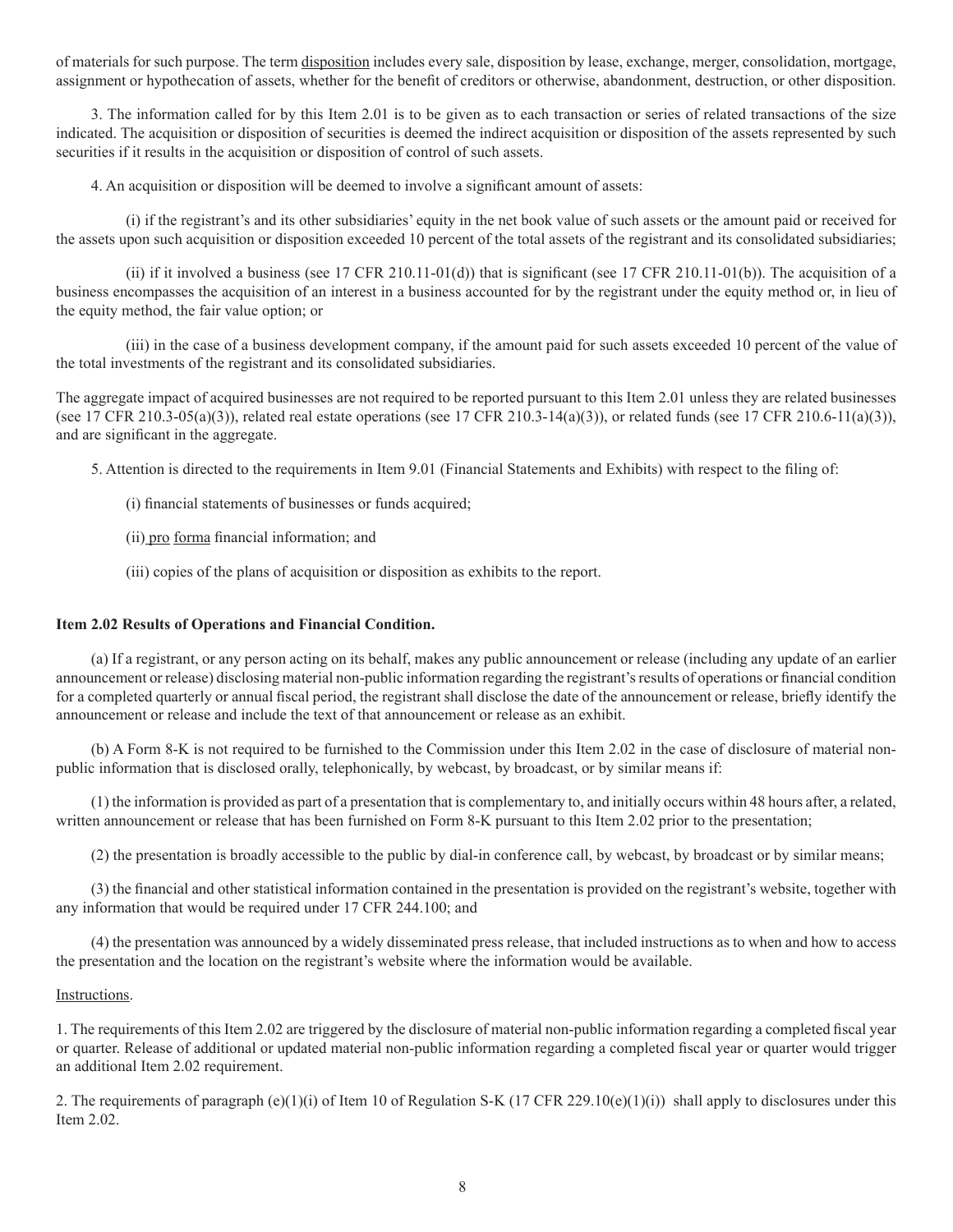of materials for such purpose. The term disposition includes every sale, disposition by lease, exchange, merger, consolidation, mortgage, assignment or hypothecation of assets, whether for the benefit of creditors or otherwise, abandonment, destruction, or other disposition.

3. The information called for by this Item 2.01 is to be given as to each transaction or series of related transactions of the size indicated. The acquisition or disposition of securities is deemed the indirect acquisition or disposition of the assets represented by such securities if it results in the acquisition or disposition of control of such assets.

4. An acquisition or disposition will be deemed to involve a significant amount of assets:

(i) if the registrant's and its other subsidiaries' equity in the net book value of such assets or the amount paid or received for the assets upon such acquisition or disposition exceeded 10 percent of the total assets of the registrant and its consolidated subsidiaries;

(ii) if it involved a business (see 17 CFR 210.11-01(d)) that is significant (see 17 CFR 210.11-01(b)). The acquisition of a business encompasses the acquisition of an interest in a business accounted for by the registrant under the equity method or, in lieu of the equity method, the fair value option; or

(iii) in the case of a business development company, if the amount paid for such assets exceeded 10 percent of the value of the total investments of the registrant and its consolidated subsidiaries.

The aggregate impact of acquired businesses are not required to be reported pursuant to this Item 2.01 unless they are related businesses (see 17 CFR 210.3-05(a)(3)), related real estate operations (see 17 CFR 210.3-14(a)(3)), or related funds (see 17 CFR 210.6-11(a)(3)), and are significant in the aggregate.

5. Attention is directed to the requirements in Item 9.01 (Financial Statements and Exhibits) with respect to the filing of:

(i) financial statements of businesses or funds acquired;

(ii) pro forma financial information; and

(iii) copies of the plans of acquisition or disposition as exhibits to the report.

### **Item 2.02 Results of Operations and Financial Condition.**

(a) If a registrant, or any person acting on its behalf, makes any public announcement or release (including any update of an earlier announcement or release) disclosing material non-public information regarding the registrant's results of operations or financial condition for a completed quarterly or annual fiscal period, the registrant shall disclose the date of the announcement or release, briefly identify the announcement or release and include the text of that announcement or release as an exhibit.

(b) A Form 8-K is not required to be furnished to the Commission under this Item 2.02 in the case of disclosure of material nonpublic information that is disclosed orally, telephonically, by webcast, by broadcast, or by similar means if:

(1) the information is provided as part of a presentation that is complementary to, and initially occurs within 48 hours after, a related, written announcement or release that has been furnished on Form 8-K pursuant to this Item 2.02 prior to the presentation;

(2) the presentation is broadly accessible to the public by dial-in conference call, by webcast, by broadcast or by similar means;

(3) the financial and other statistical information contained in the presentation is provided on the registrant's website, together with any information that would be required under 17 CFR 244.100; and

(4) the presentation was announced by a widely disseminated press release, that included instructions as to when and how to access the presentation and the location on the registrant's website where the information would be available.

#### Instructions.

1. The requirements of this Item 2.02 are triggered by the disclosure of material non-public information regarding a completed fiscal year or quarter. Release of additional or updated material non-public information regarding a completed fiscal year or quarter would trigger an additional Item 2.02 requirement.

2. The requirements of paragraph (e)(1)(i) of Item 10 of Regulation S-K (17 CFR 229.10(e)(1)(i)) shall apply to disclosures under this Item 2.02.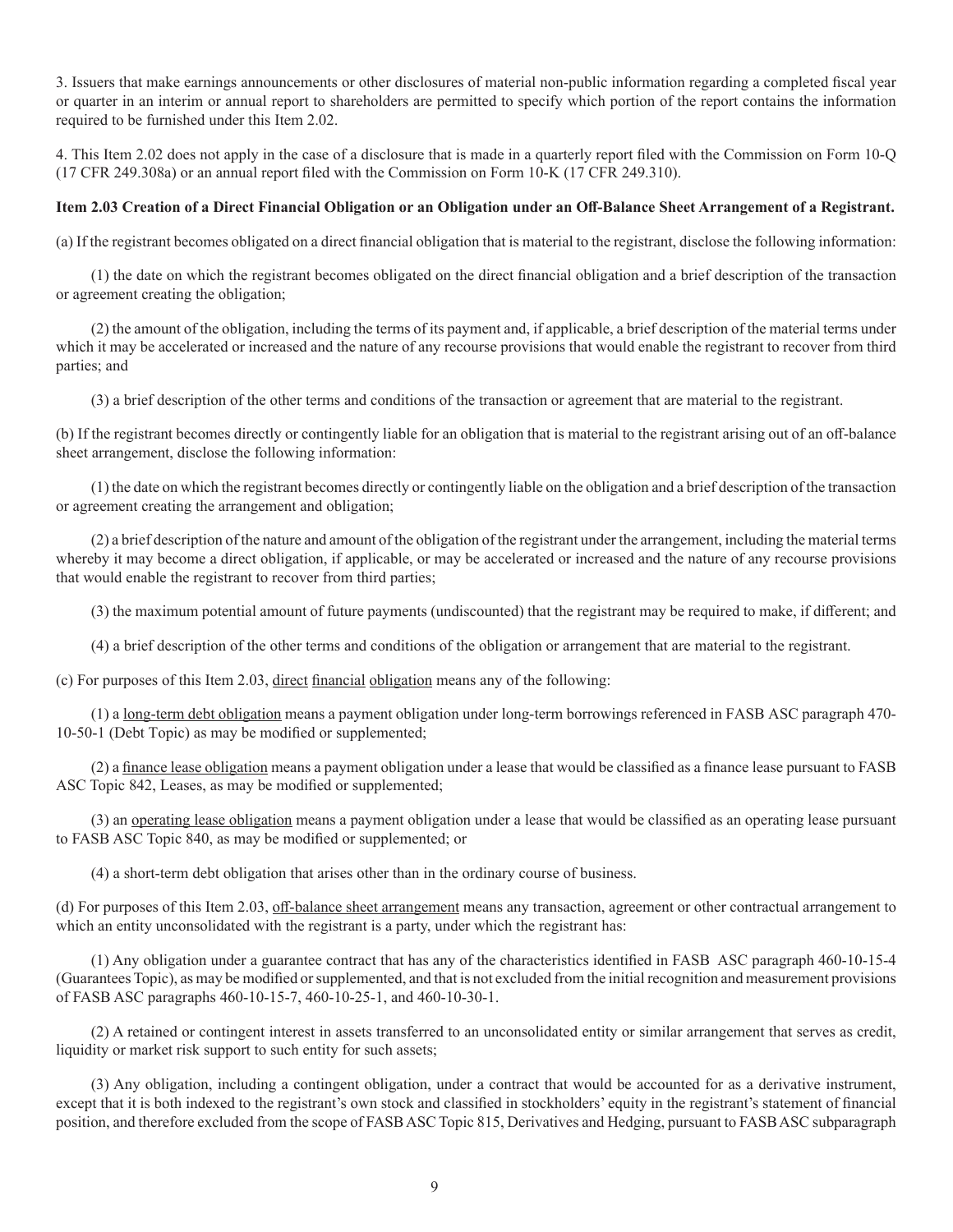3. Issuers that make earnings announcements or other disclosures of material non-public information regarding a completed fiscal year or quarter in an interim or annual report to shareholders are permitted to specify which portion of the report contains the information required to be furnished under this Item 2.02.

4. This Item 2.02 does not apply in the case of a disclosure that is made in a quarterly report filed with the Commission on Form 10-Q (17 CFR 249.308a) or an annual report filed with the Commission on Form 10-K (17 CFR 249.310).

### **Item 2.03 Creation of a Direct Financial Obligation or an Obligation under an Off-Balance Sheet Arrangement of a Registrant.**

(a) If the registrant becomes obligated on a direct financial obligation that is material to the registrant, disclose the following information:

(1) the date on which the registrant becomes obligated on the direct financial obligation and a brief description of the transaction or agreement creating the obligation;

(2) the amount of the obligation, including the terms of its payment and, if applicable, a brief description of the material terms under which it may be accelerated or increased and the nature of any recourse provisions that would enable the registrant to recover from third parties; and

(3) a brief description of the other terms and conditions of the transaction or agreement that are material to the registrant.

(b) If the registrant becomes directly or contingently liable for an obligation that is material to the registrant arising out of an off-balance sheet arrangement, disclose the following information:

(1) the date on which the registrant becomes directly or contingently liable on the obligation and a brief description of the transaction or agreement creating the arrangement and obligation;

(2) a brief description of the nature and amount of the obligation of the registrant under the arrangement, including the material terms whereby it may become a direct obligation, if applicable, or may be accelerated or increased and the nature of any recourse provisions that would enable the registrant to recover from third parties;

(3) the maximum potential amount of future payments (undiscounted) that the registrant may be required to make, if different; and

(4) a brief description of the other terms and conditions of the obligation or arrangement that are material to the registrant.

(c) For purposes of this Item 2.03, direct financial obligation means any of the following:

(1) a long-term debt obligation means a payment obligation under long-term borrowings referenced in FASB ASC paragraph 470- 10-50-1 (Debt Topic) as may be modified or supplemented;

(2) a finance lease obligation means a payment obligation under a lease that would be classified as a finance lease pursuant to FASB ASC Topic 842, Leases, as may be modified or supplemented;

(3) an operating lease obligation means a payment obligation under a lease that would be classified as an operating lease pursuant to FASB ASC Topic 840, as may be modified or supplemented; or

(4) a short-term debt obligation that arises other than in the ordinary course of business.

(d) For purposes of this Item 2.03, off-balance sheet arrangement means any transaction, agreement or other contractual arrangement to which an entity unconsolidated with the registrant is a party, under which the registrant has:

(1) Any obligation under a guarantee contract that has any of the characteristics identified in FASB ASC paragraph 460-10-15-4 (Guarantees Topic), as may be modified or supplemented, and that is not excluded from the initial recognition and measurement provisions of FASB ASC paragraphs 460-10-15-7, 460-10-25-1, and 460-10-30-1.

(2) A retained or contingent interest in assets transferred to an unconsolidated entity or similar arrangement that serves as credit, liquidity or market risk support to such entity for such assets;

(3) Any obligation, including a contingent obligation, under a contract that would be accounted for as a derivative instrument, except that it is both indexed to the registrant's own stock and classified in stockholders' equity in the registrant's statement of financial position, and therefore excluded from the scope of FASB ASC Topic 815, Derivatives and Hedging, pursuant to FASB ASC subparagraph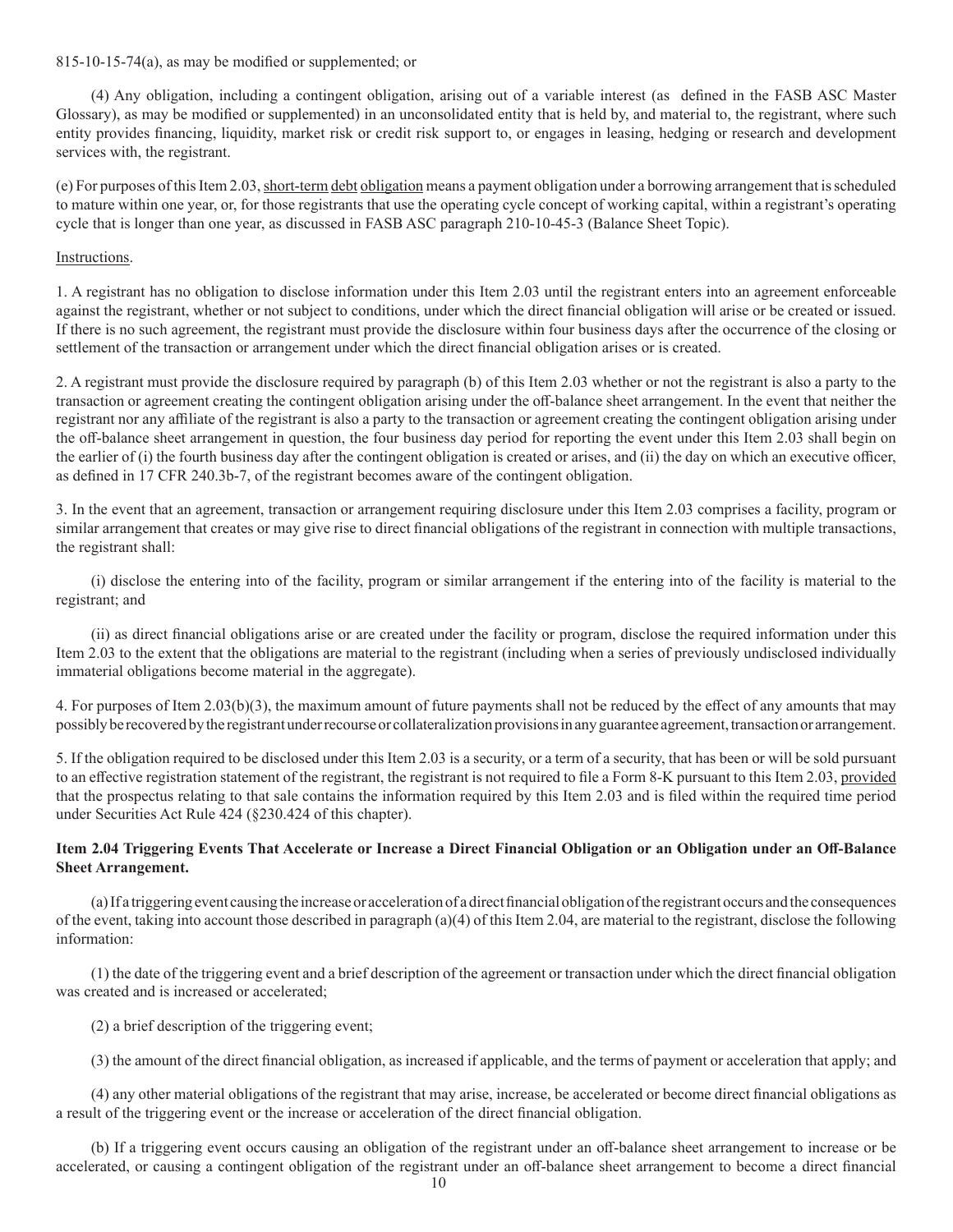### 815-10-15-74(a), as may be modified or supplemented; or

(4) Any obligation, including a contingent obligation, arising out of a variable interest (as defined in the FASB ASC Master Glossary), as may be modified or supplemented) in an unconsolidated entity that is held by, and material to, the registrant, where such entity provides financing, liquidity, market risk or credit risk support to, or engages in leasing, hedging or research and development services with, the registrant.

(e) For purposes of this Item 2.03, short-term debt obligation means a payment obligation under a borrowing arrangement that is scheduled to mature within one year, or, for those registrants that use the operating cycle concept of working capital, within a registrant's operating cycle that is longer than one year, as discussed in FASB ASC paragraph 210-10-45-3 (Balance Sheet Topic).

### Instructions.

1. A registrant has no obligation to disclose information under this Item 2.03 until the registrant enters into an agreement enforceable against the registrant, whether or not subject to conditions, under which the direct financial obligation will arise or be created or issued. If there is no such agreement, the registrant must provide the disclosure within four business days after the occurrence of the closing or settlement of the transaction or arrangement under which the direct financial obligation arises or is created.

 registrant nor any affiliate of the registrant is also a party to the transaction or agreement creating the contingent obligation arising under 2. A registrant must provide the disclosure required by paragraph (b) of this Item 2.03 whether or not the registrant is also a party to the transaction or agreement creating the contingent obligation arising under the off-balance sheet arrangement. In the event that neither the the off-balance sheet arrangement in question, the four business day period for reporting the event under this Item 2.03 shall begin on the earlier of  $(i)$  the fourth business day after the contingent obligation is created or arises, and  $(ii)$  the day on which an executive officer, as defined in 17 CFR 240.3b-7, of the registrant becomes aware of the contingent obligation.

3. In the event that an agreement, transaction or arrangement requiring disclosure under this Item 2.03 comprises a facility, program or similar arrangement that creates or may give rise to direct financial obligations of the registrant in connection with multiple transactions, the registrant shall:

(i) disclose the entering into of the facility, program or similar arrangement if the entering into of the facility is material to the registrant; and

(ii) as direct financial obligations arise or are created under the facility or program, disclose the required information under this Item 2.03 to the extent that the obligations are material to the registrant (including when a series of previously undisclosed individually immaterial obligations become material in the aggregate).

4. For purposes of Item 2.03(b)(3), the maximum amount of future payments shall not be reduced by the effect of any amounts that may possibly be recovered by the registrant under recourse or collateralization provisions in any guarantee agreement, transaction or arrangement.

5. If the obligation required to be disclosed under this Item 2.03 is a security, or a term of a security, that has been or will be sold pursuant to an effective registration statement of the registrant, the registrant is not required to file a Form 8-K pursuant to this Item 2.03, provided that the prospectus relating to that sale contains the information required by this Item 2.03 and is filed within the required time period under Securities Act Rule 424 (§230.424 of this chapter).

# **Item 2.04 Triggering Events That Accelerate or Increase a Direct Financial Obligation or an Obligation under an Off-Balance Sheet Arrangement.**

(a) If a triggering event causing the increase or acceleration of a direct financial obligation of the registrant occurs and the consequences of the event, taking into account those described in paragraph (a)(4) of this Item 2.04, are material to the registrant, disclose the following information:

 $(1)$  the date of the triggering event and a brief description of the agreement or transaction under which the direct financial obligation was created and is increased or accelerated;

(2) a brief description of the triggering event;

(3) the amount of the direct financial obligation, as increased if applicable, and the terms of payment or acceleration that apply; and

(4) any other material obligations of the registrant that may arise, increase, be accelerated or become direct financial obligations as a result of the triggering event or the increase or acceleration of the direct financial obligation.

(b) If a triggering event occurs causing an obligation of the registrant under an off-balance sheet arrangement to increase or be accelerated, or causing a contingent obligation of the registrant under an off-balance sheet arrangement to become a direct financial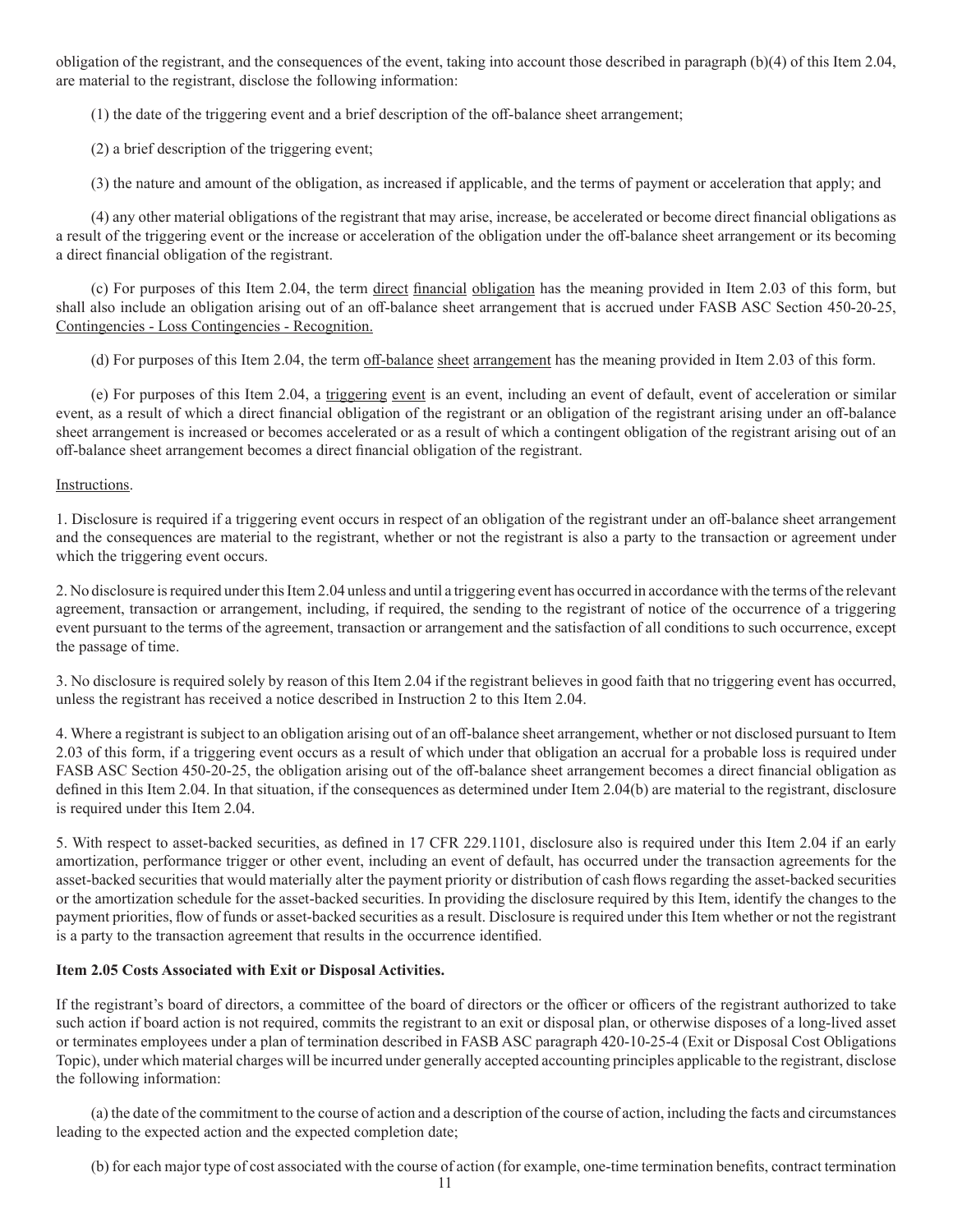obligation of the registrant, and the consequences of the event, taking into account those described in paragraph (b)(4) of this Item 2.04, are material to the registrant, disclose the following information:

(1) the date of the triggering event and a brief description of the off-balance sheet arrangement;

(2) a brief description of the triggering event;

(3) the nature and amount of the obligation, as increased if applicable, and the terms of payment or acceleration that apply; and

(4) any other material obligations of the registrant that may arise, increase, be accelerated or become direct financial obligations as a result of the triggering event or the increase or acceleration of the obligation under the off-balance sheet arrangement or its becoming a direct financial obligation of the registrant.

(c) For purposes of this Item 2.04, the term direct financial obligation has the meaning provided in Item 2.03 of this form, but shall also include an obligation arising out of an off-balance sheet arrangement that is accrued under FASB ASC Section 450-20-25, Contingencies - Loss Contingencies - Recognition.

(d) For purposes of this Item 2.04, the term off-balance sheet arrangement has the meaning provided in Item 2.03 of this form.

(e) For purposes of this Item 2.04, a triggering event is an event, including an event of default, event of acceleration or similar event, as a result of which a direct financial obligation of the registrant or an obligation of the registrant arising under an off-balance sheet arrangement is increased or becomes accelerated or as a result of which a contingent obligation of the registrant arising out of an off-balance sheet arrangement becomes a direct financial obligation of the registrant.

# Instructions.

1. Disclosure is required if a triggering event occurs in respect of an obligation of the registrant under an off-balance sheet arrangement and the consequences are material to the registrant, whether or not the registrant is also a party to the transaction or agreement under which the triggering event occurs.

2. No disclosure is required under this Item 2.04 unless and until a triggering event has occurred in accordance with the terms of the relevant agreement, transaction or arrangement, including, if required, the sending to the registrant of notice of the occurrence of a triggering event pursuant to the terms of the agreement, transaction or arrangement and the satisfaction of all conditions to such occurrence, except the passage of time.

3. No disclosure is required solely by reason of this Item 2.04 if the registrant believes in good faith that no triggering event has occurred, unless the registrant has received a notice described in Instruction 2 to this Item 2.04.

4. Where a registrant is subject to an obligation arising out of an off-balance sheet arrangement, whether or not disclosed pursuant to Item 2.03 of this form, if a triggering event occurs as a result of which under that obligation an accrual for a probable loss is required under FASB ASC Section 450-20-25, the obligation arising out of the off-balance sheet arrangement becomes a direct financial obligation as defined in this Item 2.04. In that situation, if the consequences as determined under Item 2.04(b) are material to the registrant, disclosure is required under this Item 2.04.

5. With respect to asset-backed securities, as defined in 17 CFR 229.1101, disclosure also is required under this Item 2.04 if an early amortization, performance trigger or other event, including an event of default, has occurred under the transaction agreements for the asset-backed securities that would materially alter the payment priority or distribution of cash flows regarding the asset-backed securities or the amortization schedule for the asset-backed securities. In providing the disclosure required by this Item, identify the changes to the payment priorities, flow of funds or asset-backed securities as a result. Disclosure is required under this Item whether or not the registrant is a party to the transaction agreement that results in the occurrence identified.

# **Item 2.05 Costs Associated with Exit or Disposal Activities.**

If the registrant's board of directors, a committee of the board of directors or the officer or officers of the registrant authorized to take such action if board action is not required, commits the registrant to an exit or disposal plan, or otherwise disposes of a long-lived asset or terminates employees under a plan of termination described in FASB ASC paragraph 420-10-25-4 (Exit or Disposal Cost Obligations Topic), under which material charges will be incurred under generally accepted accounting principles applicable to the registrant, disclose the following information:

(a) the date of the commitment to the course of action and a description of the course of action, including the facts and circumstances leading to the expected action and the expected completion date;

(b) for each major type of cost associated with the course of action (for example, one-time termination benefits, contract termination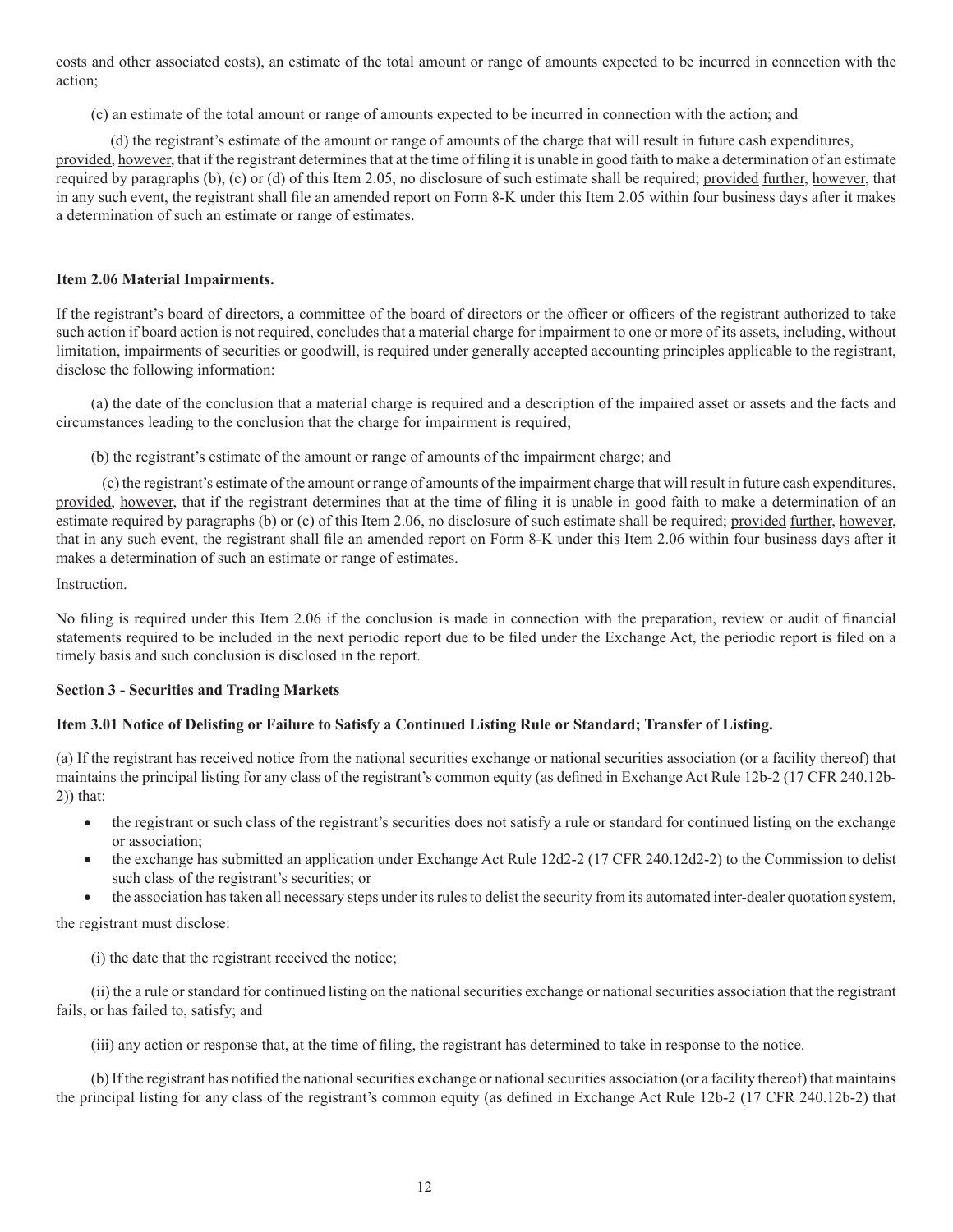costs and other associated costs), an estimate of the total amount or range of amounts expected to be incurred in connection with the action;

(c) an estimate of the total amount or range of amounts expected to be incurred in connection with the action; and

(d) the registrant's estimate of the amount or range of amounts of the charge that will result in future cash expenditures, provided, however, that if the registrant determines that at the time of filing it is unable in good faith to make a determination of an estimate required by paragraphs (b), (c) or (d) of this Item 2.05, no disclosure of such estimate shall be required; provided further, however, that in any such event, the registrant shall file an amended report on Form 8-K under this Item 2.05 within four business days after it makes a determination of such an estimate or range of estimates.

### **Item 2.06 Material Impairments.**

If the registrant's board of directors, a committee of the board of directors or the officer or officers of the registrant authorized to take such action if board action is not required, concludes that a material charge for impairment to one or more of its assets, including, without limitation, impairments of securities or goodwill, is required under generally accepted accounting principles applicable to the registrant, disclose the following information:

(a) the date of the conclusion that a material charge is required and a description of the impaired asset or assets and the facts and circumstances leading to the conclusion that the charge for impairment is required;

(b) the registrant's estimate of the amount or range of amounts of the impairment charge; and

 (c) the registrant's estimate of the amount or range of amounts of the impairment charge that will result in future cash expenditures, provided, however, that if the registrant determines that at the time of filing it is unable in good faith to make a determination of an estimate required by paragraphs (b) or (c) of this Item 2.06, no disclosure of such estimate shall be required; provided further, however, that in any such event, the registrant shall file an amended report on Form 8-K under this Item 2.06 within four business days after it makes a determination of such an estimate or range of estimates.

### Instruction.

No filing is required under this Item 2.06 if the conclusion is made in connection with the preparation, review or audit of financial statements required to be included in the next periodic report due to be filed under the Exchange Act, the periodic report is filed on a timely basis and such conclusion is disclosed in the report.

# **Section 3 - Securities and Trading Markets**

# **Item 3.01 Notice of Delisting or Failure to Satisfy a Continued Listing Rule or Standard; Transfer of Listing.**

(a) If the registrant has received notice from the national securities exchange or national securities association (or a facility thereof) that maintains the principal listing for any class of the registrant's common equity (as defined in Exchange Act Rule 12b-2 (17 CFR 240.12b-2)) that:

- the registrant or such class of the registrant's securities does not satisfy a rule or standard for continued listing on the exchange or association;
- the exchange has submitted an application under Exchange Act Rule 12d2-2 (17 CFR 240.12d2-2) to the Commission to delist such class of the registrant's securities; or
- the association has taken all necessary steps under its rules to delist the security from its automated inter-dealer quotation system,

the registrant must disclose:

(i) the date that the registrant received the notice;

(ii) the a rule or standard for continued listing on the national securities exchange or national securities association that the registrant fails, or has failed to, satisfy; and

(iii) any action or response that, at the time of filing, the registrant has determined to take in response to the notice.

(b) If the registrant has notified the national securities exchange or national securities association (or a facility thereof) that maintains the principal listing for any class of the registrant's common equity (as defined in Exchange Act Rule 12b-2 (17 CFR 240.12b-2) that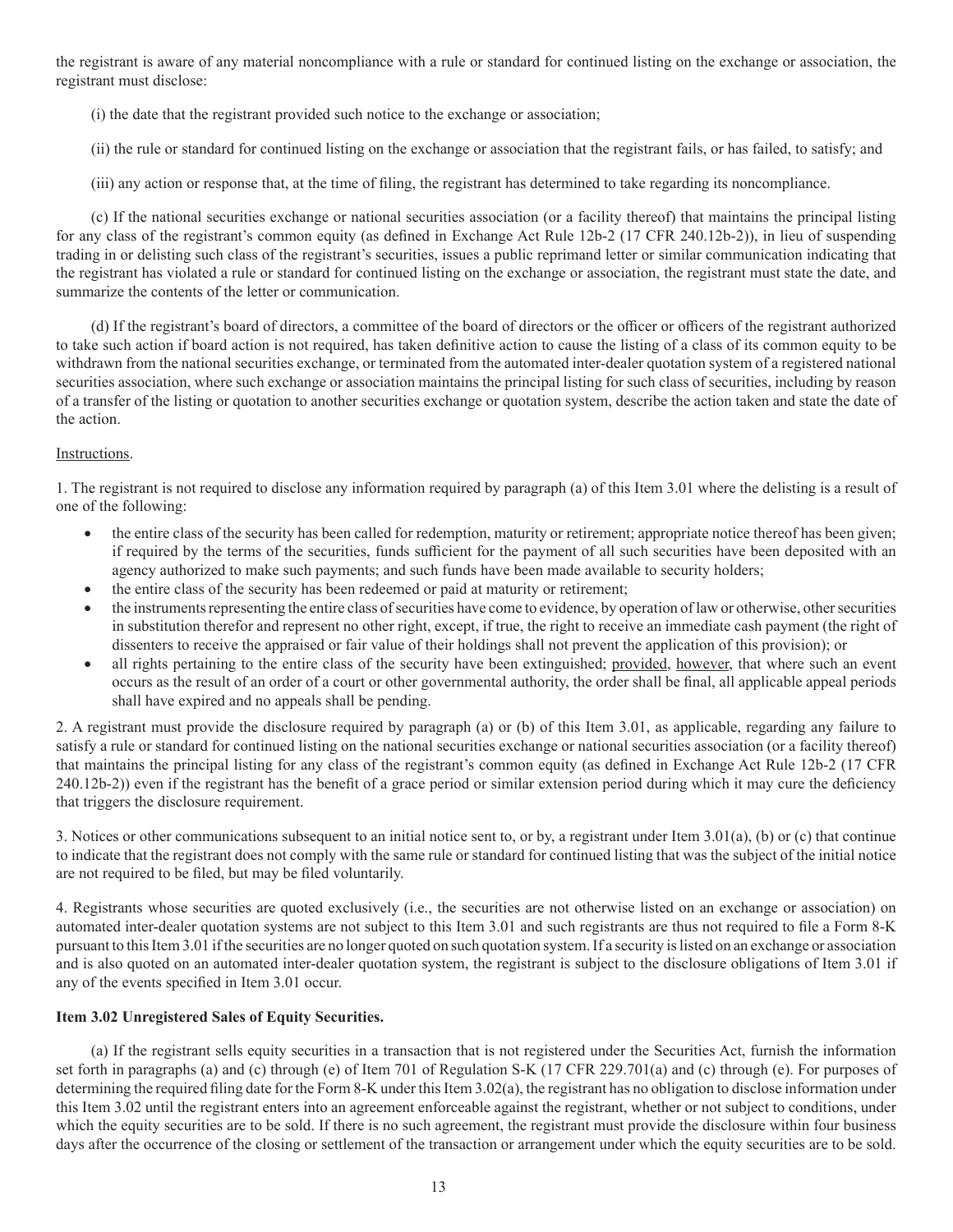the registrant is aware of any material noncompliance with a rule or standard for continued listing on the exchange or association, the registrant must disclose:

(i) the date that the registrant provided such notice to the exchange or association;

(ii) the rule or standard for continued listing on the exchange or association that the registrant fails, or has failed, to satisfy; and

(iii) any action or response that, at the time of filing, the registrant has determined to take regarding its noncompliance.

(c) If the national securities exchange or national securities association (or a facility thereof) that maintains the principal listing for any class of the registrant's common equity (as defined in Exchange Act Rule 12b-2 (17 CFR 240.12b-2)), in lieu of suspending trading in or delisting such class of the registrant's securities, issues a public reprimand letter or similar communication indicating that the registrant has violated a rule or standard for continued listing on the exchange or association, the registrant must state the date, and summarize the contents of the letter or communication.

(d) If the registrant's board of directors, a committee of the board of directors or the officer or officers of the registrant authorized to take such action if board action is not required, has taken definitive action to cause the listing of a class of its common equity to be withdrawn from the national securities exchange, or terminated from the automated inter-dealer quotation system of a registered national securities association, where such exchange or association maintains the principal listing for such class of securities, including by reason of a transfer of the listing or quotation to another securities exchange or quotation system, describe the action taken and state the date of the action.

# Instructions.

1. The registrant is not required to disclose any information required by paragraph (a) of this Item 3.01 where the delisting is a result of one of the following:

- if required by the terms of the securities, funds sufficient for the payment of all such securities have been deposited with an • the entire class of the security has been called for redemption, maturity or retirement; appropriate notice thereof has been given; agency authorized to make such payments; and such funds have been made available to security holders;
- the entire class of the security has been redeemed or paid at maturity or retirement;
- the instruments representing the entire class of securities have come to evidence, by operation of law or otherwise, other securities in substitution therefor and represent no other right, except, if true, the right to receive an immediate cash payment (the right of dissenters to receive the appraised or fair value of their holdings shall not prevent the application of this provision); or
- all rights pertaining to the entire class of the security have been extinguished; provided, however, that where such an event occurs as the result of an order of a court or other governmental authority, the order shall be final, all applicable appeal periods shall have expired and no appeals shall be pending.

2. A registrant must provide the disclosure required by paragraph (a) or (b) of this Item 3.01, as applicable, regarding any failure to satisfy a rule or standard for continued listing on the national securities exchange or national securities association (or a facility thereof) that maintains the principal listing for any class of the registrant's common equity (as defined in Exchange Act Rule 12b-2 (17 CFR 240.12b-2)) even if the registrant has the benefit of a grace period or similar extension period during which it may cure the deficiency that triggers the disclosure requirement.

3. Notices or other communications subsequent to an initial notice sent to, or by, a registrant under Item 3.01(a), (b) or (c) that continue to indicate that the registrant does not comply with the same rule or standard for continued listing that was the subject of the initial notice are not required to be filed, but may be filed voluntarily.

4. Registrants whose securities are quoted exclusively (i.e., the securities are not otherwise listed on an exchange or association) on automated inter-dealer quotation systems are not subject to this Item 3.01 and such registrants are thus not required to file a Form 8-K pursuant to this Item 3.01 if the securities are no longer quoted on such quotation system. If a security is listed on an exchange or association and is also quoted on an automated inter-dealer quotation system, the registrant is subject to the disclosure obligations of Item 3.01 if any of the events specified in Item 3.01 occur.

# **Item 3.02 Unregistered Sales of Equity Securities.**

(a) If the registrant sells equity securities in a transaction that is not registered under the Securities Act, furnish the information set forth in paragraphs (a) and (c) through (e) of Item 701 of Regulation S-K (17 CFR 229.701(a) and (c) through (e). For purposes of determining the required filing date for the Form 8-K under this Item 3.02(a), the registrant has no obligation to disclose information under this Item 3.02 until the registrant enters into an agreement enforceable against the registrant, whether or not subject to conditions, under which the equity securities are to be sold. If there is no such agreement, the registrant must provide the disclosure within four business days after the occurrence of the closing or settlement of the transaction or arrangement under which the equity securities are to be sold.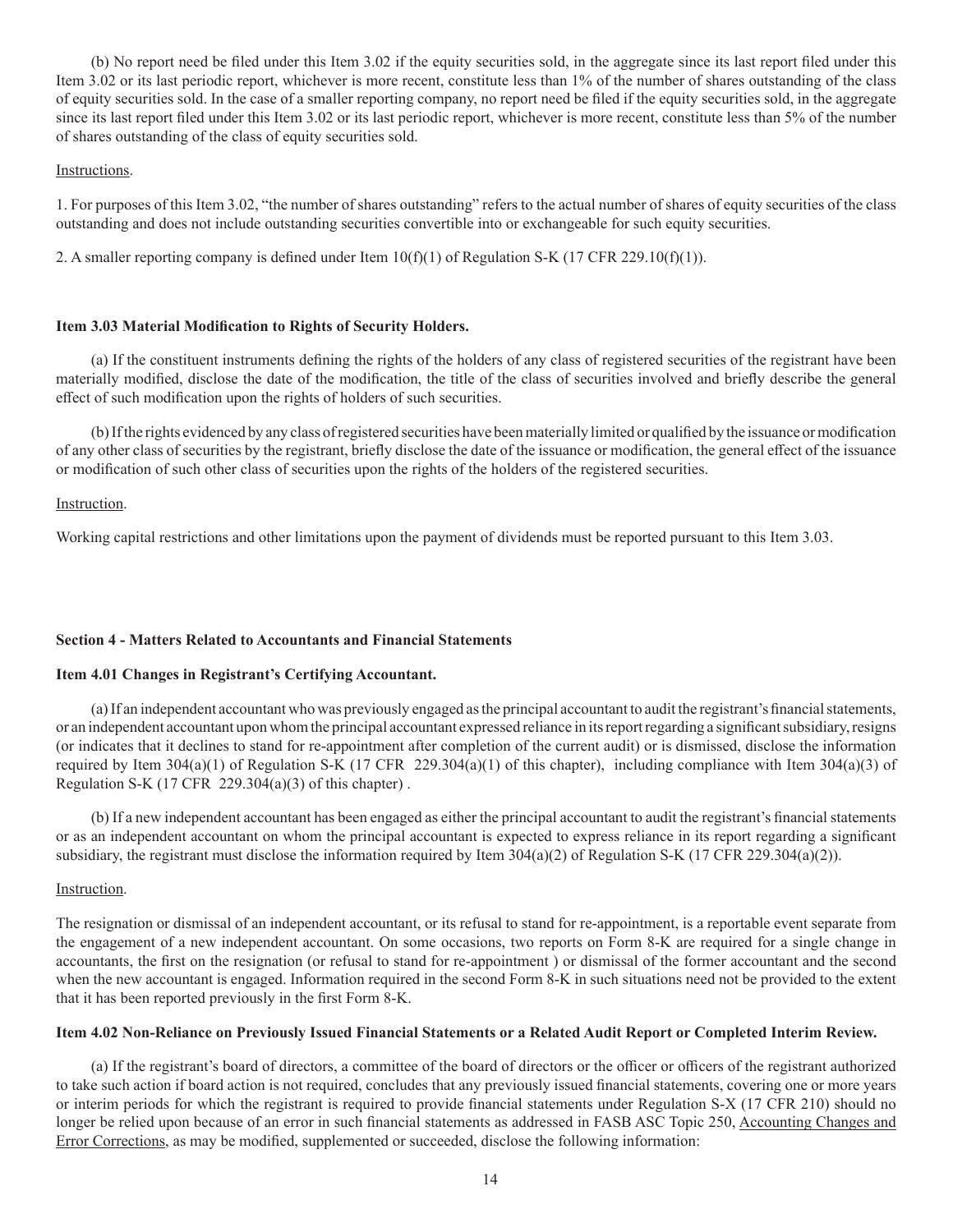(b) No report need be filed under this Item 3.02 if the equity securities sold, in the aggregate since its last report filed under this Item 3.02 or its last periodic report, whichever is more recent, constitute less than 1% of the number of shares outstanding of the class of equity securities sold. In the case of a smaller reporting company, no report need be filed if the equity securities sold, in the aggregate since its last report filed under this Item 3.02 or its last periodic report, whichever is more recent, constitute less than 5% of the number of shares outstanding of the class of equity securities sold.

### Instructions.

1. For purposes of this Item 3.02, "the number of shares outstanding" refers to the actual number of shares of equity securities of the class outstanding and does not include outstanding securities convertible into or exchangeable for such equity securities.

2. A smaller reporting company is defined under Item  $10(f)(1)$  of Regulation S-K (17 CFR 229.10(f)(1)).

### **Item 3.03 Material Modification to Rights of Security Holders.**

(a) If the constituent instruments defining the rights of the holders of any class of registered securities of the registrant have been materially modified, disclose the date of the modification, the title of the class of securities involved and briefly describe the general effect of such modification upon the rights of holders of such securities.

(b) If the rights evidenced by any class of registered securities have been materially limited or qualified by the issuance or modification of any other class of securities by the registrant, briefly disclose the date of the issuance or modification, the general effect of the issuance or modification of such other class of securities upon the rights of the holders of the registered securities.

### Instruction.

Working capital restrictions and other limitations upon the payment of dividends must be reported pursuant to this Item 3.03.

### **Section 4 - Matters Related to Accountants and Financial Statements**

### **Item 4.01 Changes in Registrant's Certifying Accountant.**

(a) If an independent accountant who was previously engaged as the principal accountant to audit the registrant's financial statements, or an independent accountant upon whom the principal accountant expressed reliance in its report regarding a significant subsidiary, resigns (or indicates that it declines to stand for re-appointment after completion of the current audit) or is dismissed, disclose the information required by Item 304(a)(1) of Regulation S-K (17 CFR 229.304(a)(1) of this chapter), including compliance with Item 304(a)(3) of Regulation S-K (17 CFR  $229.304(a)(3)$  of this chapter).

(b) If a new independent accountant has been engaged as either the principal accountant to audit the registrant's financial statements or as an independent accountant on whom the principal accountant is expected to express reliance in its report regarding a significant subsidiary, the registrant must disclose the information required by Item 304(a)(2) of Regulation S-K (17 CFR 229.304(a)(2)).

# Instruction.

The resignation or dismissal of an independent accountant, or its refusal to stand for re-appointment, is a reportable event separate from the engagement of a new independent accountant. On some occasions, two reports on Form 8-K are required for a single change in accountants, the first on the resignation (or refusal to stand for re-appointment ) or dismissal of the former accountant and the second when the new accountant is engaged. Information required in the second Form 8-K in such situations need not be provided to the extent that it has been reported previously in the first Form 8-K.

### **Item 4.02 Non-Reliance on Previously Issued Financial Statements or a Related Audit Report or Completed Interim Review.**

(a) If the registrant's board of directors, a committee of the board of directors or the officer or officers of the registrant authorized to take such action if board action is not required, concludes that any previously issued financial statements, covering one or more years or interim periods for which the registrant is required to provide financial statements under Regulation S-X (17 CFR 210) should no longer be relied upon because of an error in such financial statements as addressed in FASB ASC Topic 250, Accounting Changes and Error Corrections, as may be modified, supplemented or succeeded, disclose the following information: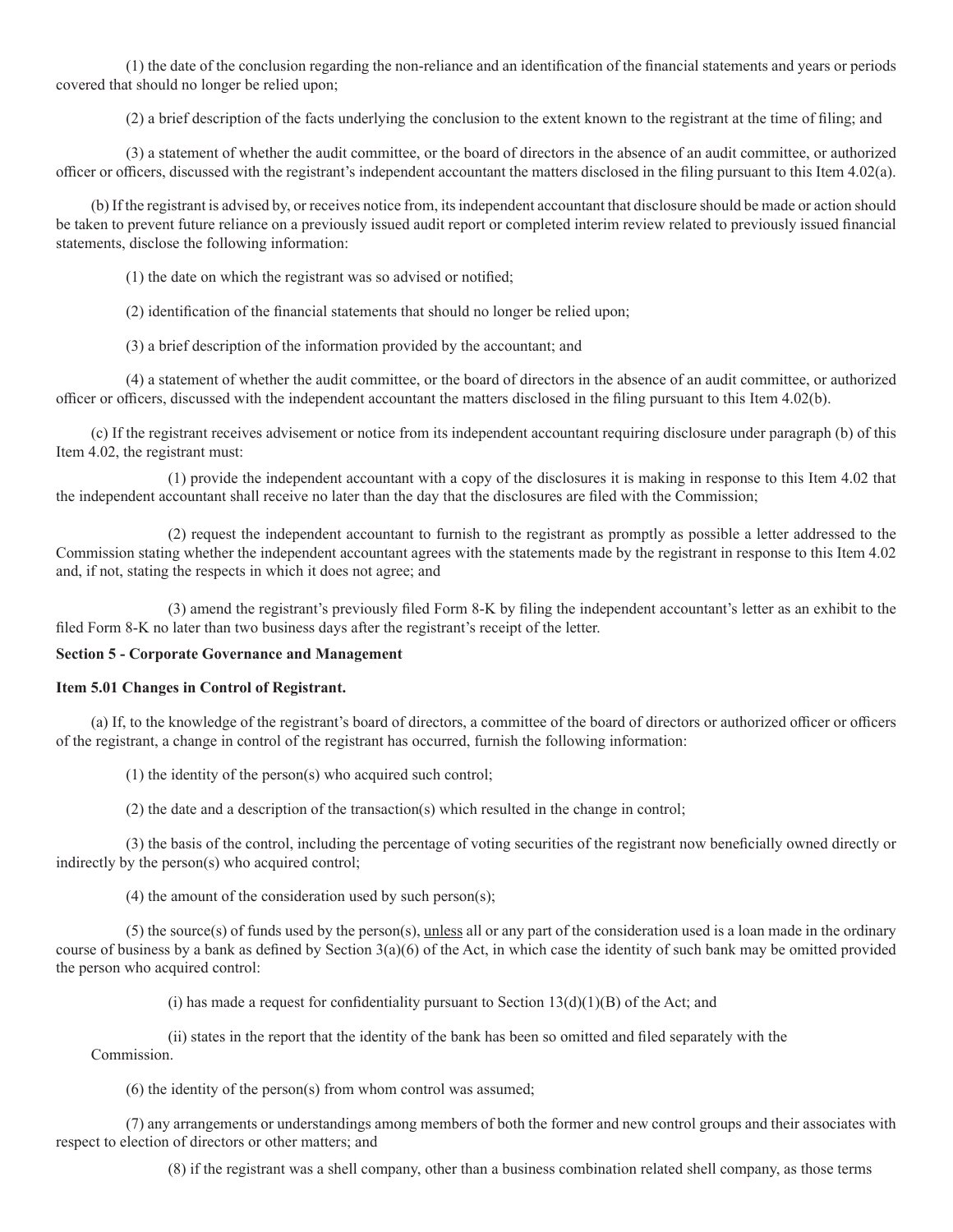(1) the date of the conclusion regarding the non-reliance and an identification of the financial statements and years or periods covered that should no longer be relied upon;

(2) a brief description of the facts underlying the conclusion to the extent known to the registrant at the time of filing; and

officer or officers, discussed with the registrant's independent accountant the matters disclosed in the filing pursuant to this Item 4.02(a). (3) a statement of whether the audit committee, or the board of directors in the absence of an audit committee, or authorized

(b) If the registrant is advised by, or receives notice from, its independent accountant that disclosure should be made or action should be taken to prevent future reliance on a previously issued audit report or completed interim review related to previously issued financial statements, disclose the following information:

(1) the date on which the registrant was so advised or notified;

(2) identification of the financial statements that should no longer be relied upon;

(3) a brief description of the information provided by the accountant; and

officer or officers, discussed with the independent accountant the matters disclosed in the filing pursuant to this Item 4.02(b). (4) a statement of whether the audit committee, or the board of directors in the absence of an audit committee, or authorized

(c) If the registrant receives advisement or notice from its independent accountant requiring disclosure under paragraph (b) of this Item 4.02, the registrant must:

(1) provide the independent accountant with a copy of the disclosures it is making in response to this Item 4.02 that the independent accountant shall receive no later than the day that the disclosures are filed with the Commission;

(2) request the independent accountant to furnish to the registrant as promptly as possible a letter addressed to the Commission stating whether the independent accountant agrees with the statements made by the registrant in response to this Item 4.02 and, if not, stating the respects in which it does not agree; and

(3) amend the registrant's previously filed Form 8-K by filing the independent accountant's letter as an exhibit to the filed Form 8-K no later than two business days after the registrant's receipt of the letter.

# **Section 5 - Corporate Governance and Management**

# **Item 5.01 Changes in Control of Registrant.**

(a) If, to the knowledge of the registrant's board of directors, a committee of the board of directors or authorized officer or officers of the registrant, a change in control of the registrant has occurred, furnish the following information:

(1) the identity of the person(s) who acquired such control;

(2) the date and a description of the transaction(s) which resulted in the change in control;

(3) the basis of the control, including the percentage of voting securities of the registrant now beneficially owned directly or indirectly by the person(s) who acquired control;

(4) the amount of the consideration used by such person(s);

(5) the source(s) of funds used by the person(s), unless all or any part of the consideration used is a loan made in the ordinary course of business by a bank as defined by Section 3(a)(6) of the Act, in which case the identity of such bank may be omitted provided the person who acquired control:

(i) has made a request for confidentiality pursuant to Section  $13(d)(1)(B)$  of the Act; and

(ii) states in the report that the identity of the bank has been so omitted and filed separately with the Commission.

(6) the identity of the person(s) from whom control was assumed;

(7) any arrangements or understandings among members of both the former and new control groups and their associates with respect to election of directors or other matters; and

(8) if the registrant was a shell company, other than a business combination related shell company, as those terms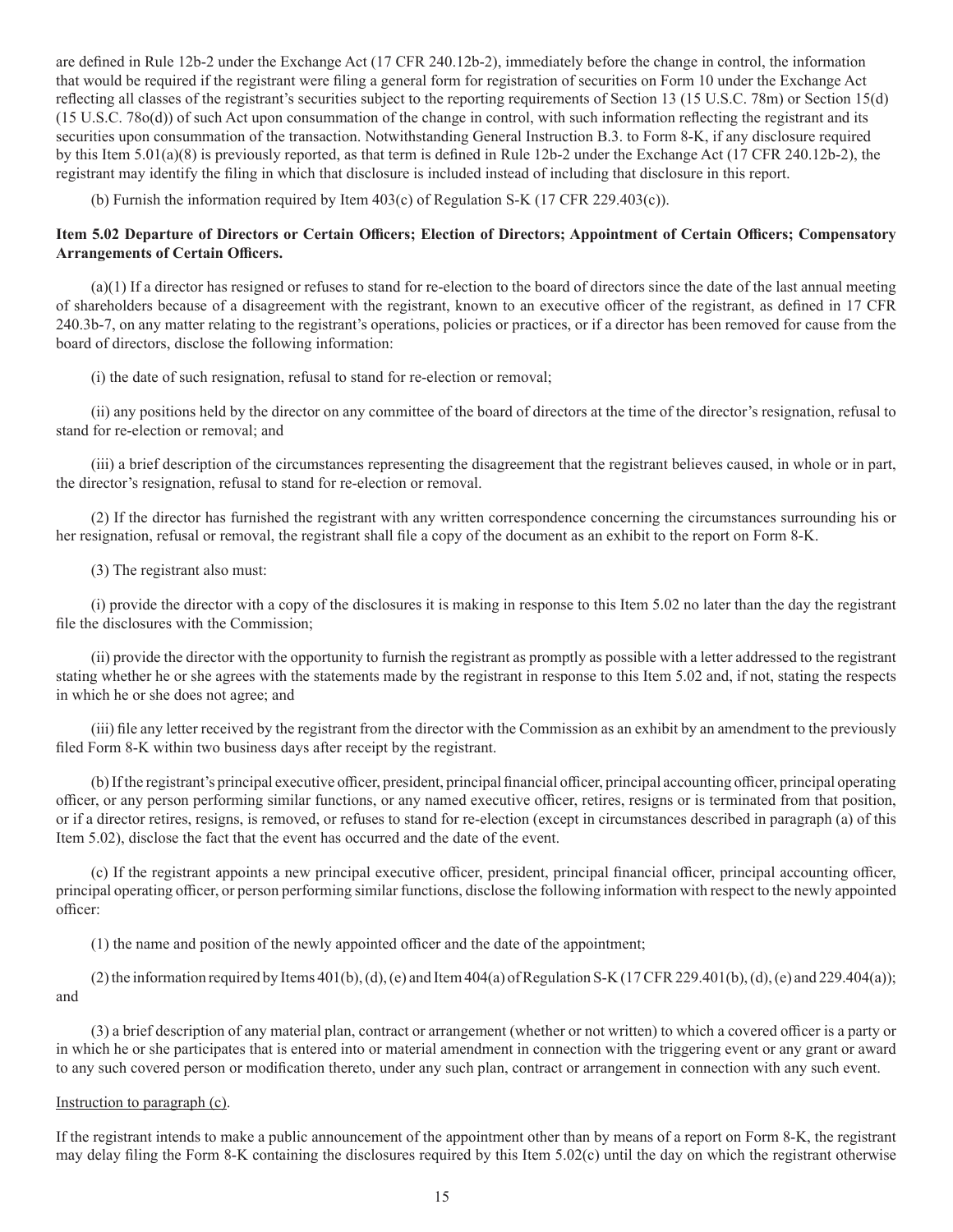are defined in Rule 12b-2 under the Exchange Act (17 CFR 240.12b-2), immediately before the change in control, the information that would be required if the registrant were filing a general form for registration of securities on Form 10 under the Exchange Act reflecting all classes of the registrant's securities subject to the reporting requirements of Section 13 (15 U.S.C. 78m) or Section 15(d) (15 U.S.C. 78o(d)) of such Act upon consummation of the change in control, with such information reflecting the registrant and its securities upon consummation of the transaction. Notwithstanding General Instruction B.3. to Form 8-K, if any disclosure required by this Item 5.01(a)(8) is previously reported, as that term is defined in Rule 12b-2 under the Exchange Act (17 CFR 240.12b-2), the registrant may identify the filing in which that disclosure is included instead of including that disclosure in this report.

(b) Furnish the information required by Item 403(c) of Regulation S-K (17 CFR 229.403(c)).

### **Item 5.02 Departure of Directors or Certain Officers; Election of Directors; Appointment of Certain Offi cers; Compensatory Arrangements of Certain Officers.**

 of shareholders because of a disagreement with the registrant, known to an executive officer of the registrant, as defined in 17 CFR  $(a)(1)$  If a director has resigned or refuses to stand for re-election to the board of directors since the date of the last annual meeting 240.3b-7, on any matter relating to the registrant's operations, policies or practices, or if a director has been removed for cause from the board of directors, disclose the following information:

(i) the date of such resignation, refusal to stand for re-election or removal;

(ii) any positions held by the director on any committee of the board of directors at the time of the director's resignation, refusal to stand for re-election or removal; and

(iii) a brief description of the circumstances representing the disagreement that the registrant believes caused, in whole or in part, the director's resignation, refusal to stand for re-election or removal.

(2) If the director has furnished the registrant with any written correspondence concerning the circumstances surrounding his or her resignation, refusal or removal, the registrant shall file a copy of the document as an exhibit to the report on Form 8-K.

(3) The registrant also must:

(i) provide the director with a copy of the disclosures it is making in response to this Item 5.02 no later than the day the registrant file the disclosures with the Commission;

(ii) provide the director with the opportunity to furnish the registrant as promptly as possible with a letter addressed to the registrant stating whether he or she agrees with the statements made by the registrant in response to this Item 5.02 and, if not, stating the respects in which he or she does not agree; and

(iii) file any letter received by the registrant from the director with the Commission as an exhibit by an amendment to the previously filed Form 8-K within two business days after receipt by the registrant.

 officer, or any person performing similar functions, or any named executive officer, retires, resigns or is terminated from that position, (b) If the registrant's principal executive officer, president, principal financial officer, principal accounting officer, principal operating or if a director retires, resigns, is removed, or refuses to stand for re-election (except in circumstances described in paragraph (a) of this Item 5.02), disclose the fact that the event has occurred and the date of the event.

(c) If the registrant appoints a new principal executive officer, president, principal financial officer, principal accounting officer, principal operating officer, or person performing similar functions, disclose the following information with respect to the newly appointed officer:

(1) the name and position of the newly appointed officer and the date of the appointment;

(2) the information required by Items  $401(b)$ , (d), (e) and Item  $404(a)$  of Regulation S-K (17 CFR 229.401(b), (d), (e) and 229.404(a)); and

 (3) a brief description of any material plan, contract or arrangement (whether or not written) to which a covered officer is a party or in which he or she participates that is entered into or material amendment in connection with the triggering event or any grant or award to any such covered person or modification thereto, under any such plan, contract or arrangement in connection with any such event.

### Instruction to paragraph (c).

If the registrant intends to make a public announcement of the appointment other than by means of a report on Form 8-K, the registrant may delay filing the Form 8-K containing the disclosures required by this Item 5.02(c) until the day on which the registrant otherwise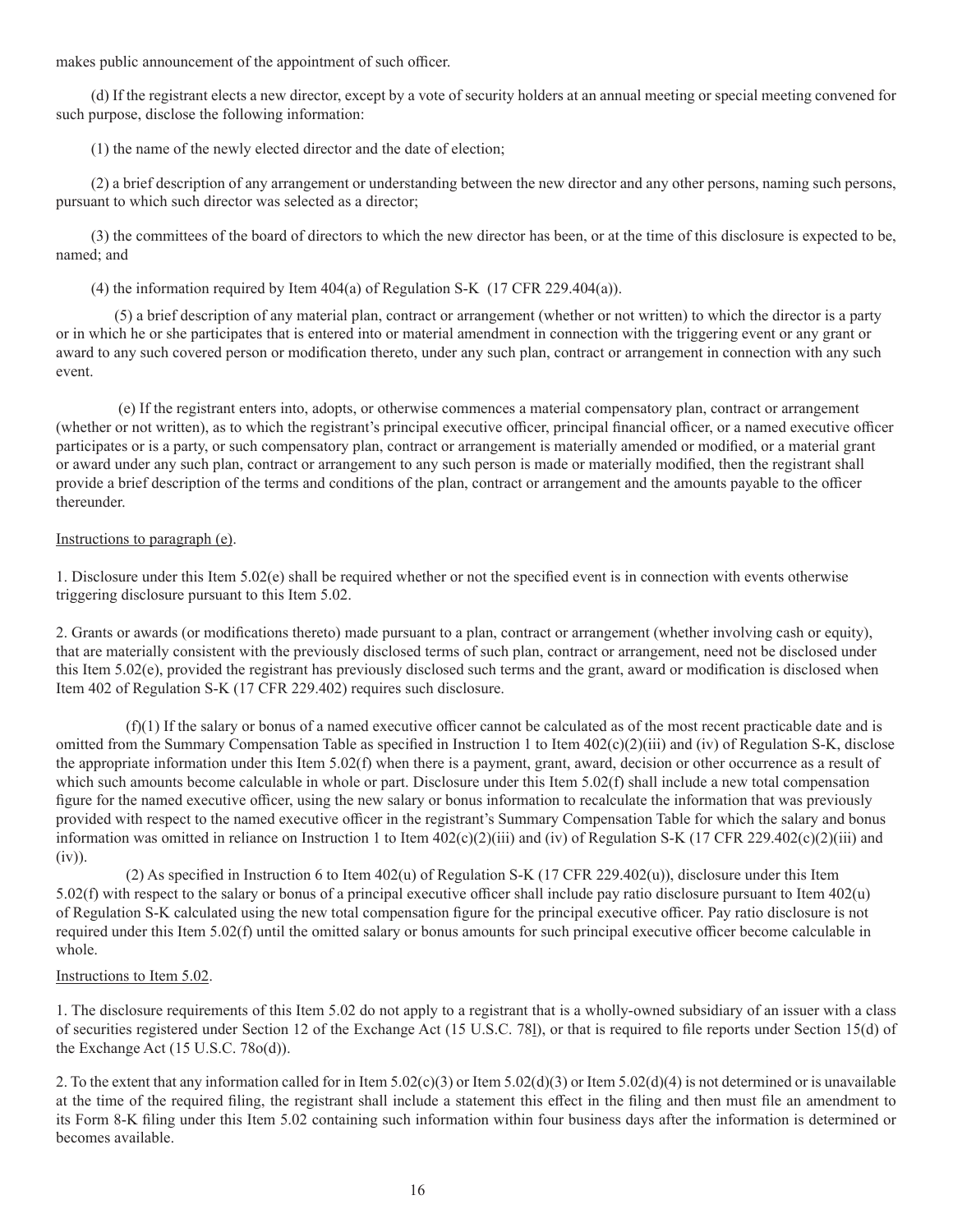makes public announcement of the appointment of such officer.

(d) If the registrant elects a new director, except by a vote of security holders at an annual meeting or special meeting convened for such purpose, disclose the following information:

(1) the name of the newly elected director and the date of election;

(2) a brief description of any arrangement or understanding between the new director and any other persons, naming such persons, pursuant to which such director was selected as a director;

(3) the committees of the board of directors to which the new director has been, or at the time of this disclosure is expected to be, named; and

(4) the information required by Item 404(a) of Regulation S-K (17 CFR 229.404(a)).

 (5) a brief description of any material plan, contract or arrangement (whether or not written) to which the director is a party or in which he or she participates that is entered into or material amendment in connection with the triggering event or any grant or award to any such covered person or modification thereto, under any such plan, contract or arrangement in connection with any such event.

(whether or not written), as to which the registrant's principal executive officer, principal financial officer, or a named executive officer (e) If the registrant enters into, adopts, or otherwise commences a material compensatory plan, contract or arrangement participates or is a party, or such compensatory plan, contract or arrangement is materially amended or modified, or a material grant or award under any such plan, contract or arrangement to any such person is made or materially modified, then the registrant shall provide a brief description of the terms and conditions of the plan, contract or arrangement and the amounts payable to the officer thereunder.

### Instructions to paragraph (e).

1. Disclosure under this Item 5.02(e) shall be required whether or not the specified event is in connection with events otherwise triggering disclosure pursuant to this Item 5.02.

2. Grants or awards (or modifications thereto) made pursuant to a plan, contract or arrangement (whether involving cash or equity), that are materially consistent with the previously disclosed terms of such plan, contract or arrangement, need not be disclosed under this Item 5.02(e), provided the registrant has previously disclosed such terms and the grant, award or modification is disclosed when Item 402 of Regulation S-K (17 CFR 229.402) requires such disclosure.

 figure for the named executive officer, using the new salary or bonus information to recalculate the information that was previously provided with respect to the named executive officer in the registrant's Summary Compensation Table for which the salary and bonus  $(f)(1)$  If the salary or bonus of a named executive officer cannot be calculated as of the most recent practicable date and is omitted from the Summary Compensation Table as specified in Instruction 1 to Item 402(c)(2)(iii) and (iv) of Regulation S-K, disclose the appropriate information under this Item 5.02(f) when there is a payment, grant, award, decision or other occurrence as a result of which such amounts become calculable in whole or part. Disclosure under this Item 5.02(f) shall include a new total compensation information was omitted in reliance on Instruction 1 to Item  $402(c)(2)(iii)$  and (iv) of Regulation S-K (17 CFR 229.402 $(c)(2)(iii)$  and (iv)).

 5.02(f) with respect to the salary or bonus of a principal executive officer shall include pay ratio disclosure pursuant to Item 402(u) of Regulation S-K calculated using the new total compensation figure for the principal executive officer. Pay ratio disclosure is not required under this Item 5.02(f) until the omitted salary or bonus amounts for such principal executive officer become calculable in (2) As specified in Instruction 6 to Item 402(u) of Regulation S-K (17 CFR 229.402(u)), disclosure under this Item whole.

### Instructions to Item 5.02.

1. The disclosure requirements of this Item 5.02 do not apply to a registrant that is a wholly-owned subsidiary of an issuer with a class of securities registered under Section 12 of the Exchange Act (15 U.S.C. 78l), or that is required to file reports under Section 15(d) of the Exchange Act (15 U.S.C. 78o(d)).

 at the time of the required filing, the registrant shall include a statement this effect in the filing and then must file an amendment to 2. To the extent that any information called for in Item  $5.02(c)(3)$  or Item  $5.02(d)(3)$  or Item  $5.02(d)(4)$  is not determined or is unavailable its Form 8-K filing under this Item 5.02 containing such information within four business days after the information is determined or becomes available.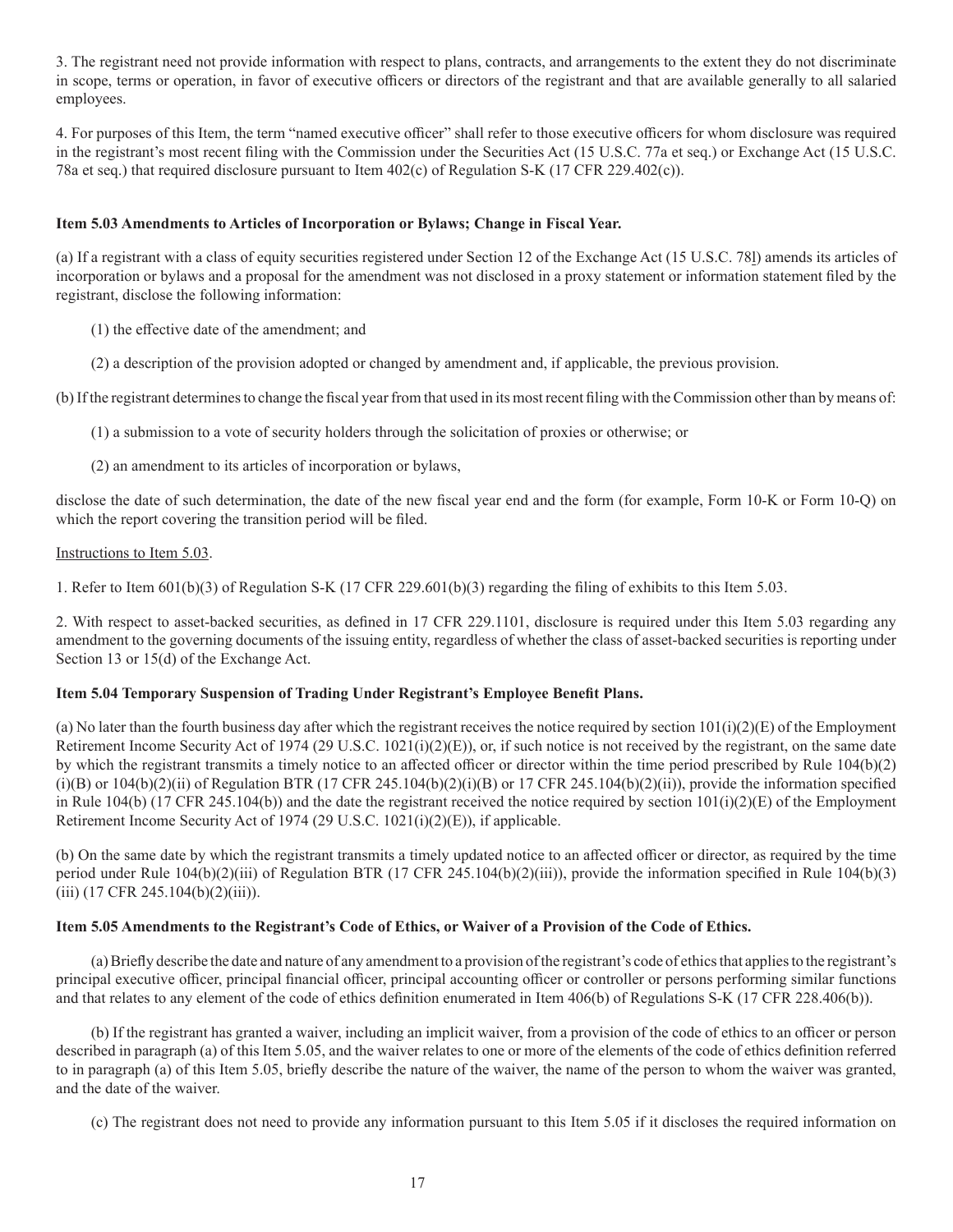in scope, terms or operation, in favor of executive officers or directors of the registrant and that are available generally to all salaried 3. The registrant need not provide information with respect to plans, contracts, and arrangements to the extent they do not discriminate employees.

 4. For purposes of this Item, the term "named executive officer" shall refer to those executive officers for whom disclosure was required in the registrant's most recent filing with the Commission under the Securities Act (15 U.S.C. 77a et seq.) or Exchange Act (15 U.S.C. 78a et seq.) that required disclosure pursuant to Item 402(c) of Regulation S-K (17 CFR 229.402(c)).

# **Item 5.03 Amendments to Articles of Incorporation or Bylaws; Change in Fiscal Year.**

(a) If a registrant with a class of equity securities registered under Section 12 of the Exchange Act (15 U.S.C. 78l) amends its articles of incorporation or bylaws and a proposal for the amendment was not disclosed in a proxy statement or information statement filed by the registrant, disclose the following information:

(1) the effective date of the amendment; and

(2) a description of the provision adopted or changed by amendment and, if applicable, the previous provision.

(b) If the registrant determines to change the fiscal year from that used in its most recent filing with the Commission other than by means of:

(1) a submission to a vote of security holders through the solicitation of proxies or otherwise; or

(2) an amendment to its articles of incorporation or bylaws,

disclose the date of such determination, the date of the new fiscal year end and the form (for example, Form 10-K or Form 10-Q) on which the report covering the transition period will be filed.

# Instructions to Item 5.03.

1. Refer to Item 601(b)(3) of Regulation S-K (17 CFR 229.601(b)(3) regarding the filing of exhibits to this Item 5.03.

2. With respect to asset-backed securities, as defined in 17 CFR 229.1101, disclosure is required under this Item 5.03 regarding any amendment to the governing documents of the issuing entity, regardless of whether the class of asset-backed securities is reporting under Section 13 or 15(d) of the Exchange Act.

# **Item 5.04 Temporary Suspension of Trading Under Registrant's Employee Benefi t Plans.**

 by which the registrant transmits a timely notice to an affected officer or director within the time period prescribed by Rule 104(b)(2) (a) No later than the fourth business day after which the registrant receives the notice required by section  $101(i)(2)(E)$  of the Employment Retirement Income Security Act of 1974 (29 U.S.C.  $1021(i)(2)(E)$ ), or, if such notice is not received by the registrant, on the same date  $(i)(B)$  or  $104(b)(2)(ii)$  of Regulation BTR  $(17 \text{ CFR } 245.104(b)(2)(i)(B)$  or  $17 \text{ CFR } 245.104(b)(2)(ii))$ , provide the information specified in Rule  $104(b)$  (17 CFR 245.104(b)) and the date the registrant received the notice required by section  $101(i)(2)(E)$  of the Employment Retirement Income Security Act of 1974 (29 U.S.C. 1021(i)(2)(E)), if applicable.

(b) On the same date by which the registrant transmits a timely updated notice to an affected officer or director, as required by the time period under Rule 104(b)(2)(iii) of Regulation BTR (17 CFR 245.104(b)(2)(iii)), provide the information specified in Rule 104(b)(3) (iii) (17 CFR 245.104(b)(2)(iii)).

# **Item 5.05 Amendments to the Registrant's Code of Ethics, or Waiver of a Provision of the Code of Ethics.**

principal executive officer, principal financial officer, principal accounting officer or controller or persons performing similar functions (a) Briefly describe the date and nature of any amendment to a provision of the registrant's code of ethics that applies to the registrant's and that relates to any element of the code of ethics definition enumerated in Item 406(b) of Regulations S-K (17 CFR 228.406(b)).

(b) If the registrant has granted a waiver, including an implicit waiver, from a provision of the code of ethics to an officer or person described in paragraph (a) of this Item 5.05, and the waiver relates to one or more of the elements of the code of ethics definition referred to in paragraph (a) of this Item 5.05, briefly describe the nature of the waiver, the name of the person to whom the waiver was granted, and the date of the waiver.

(c) The registrant does not need to provide any information pursuant to this Item 5.05 if it discloses the required information on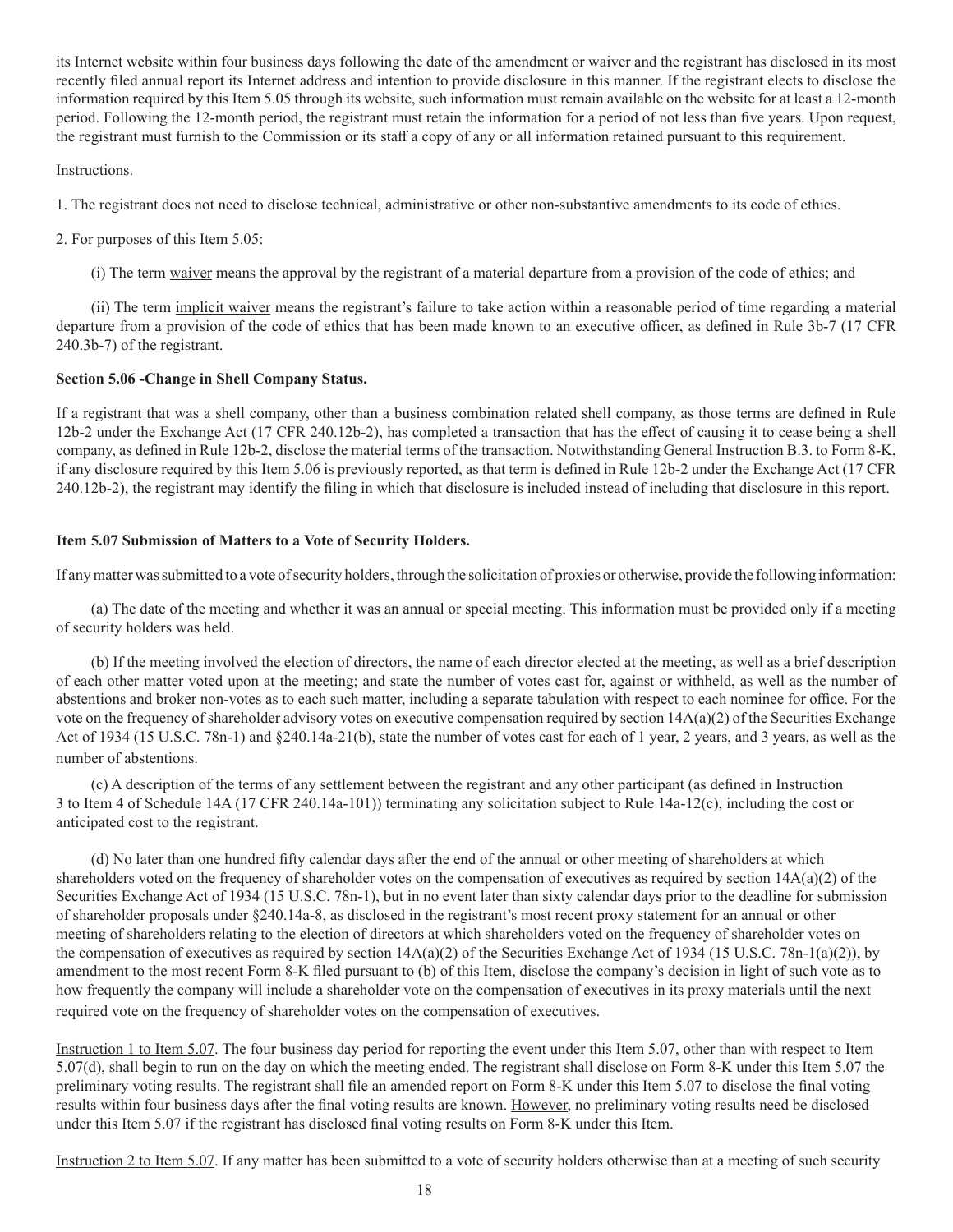its Internet website within four business days following the date of the amendment or waiver and the registrant has disclosed in its most recently filed annual report its Internet address and intention to provide disclosure in this manner. If the registrant elects to disclose the information required by this Item 5.05 through its website, such information must remain available on the website for at least a 12-month period. Following the 12-month period, the registrant must retain the information for a period of not less than five years. Upon request, the registrant must furnish to the Commission or its staff a copy of any or all information retained pursuant to this requirement.

# Instructions.

1. The registrant does not need to disclose technical, administrative or other non-substantive amendments to its code of ethics.

# 2. For purposes of this Item 5.05:

(i) The term waiver means the approval by the registrant of a material departure from a provision of the code of ethics; and

(ii) The term implicit waiver means the registrant's failure to take action within a reasonable period of time regarding a material departure from a provision of the code of ethics that has been made known to an executive officer, as defined in Rule 3b-7 (17 CFR 240.3b-7) of the registrant.

# **Section 5.06 -Change in Shell Company Status.**

If a registrant that was a shell company, other than a business combination related shell company, as those terms are defined in Rule 12b-2 under the Exchange Act (17 CFR 240.12b-2), has completed a transaction that has the effect of causing it to cease being a shell company, as defined in Rule 12b-2, disclose the material terms of the transaction. Notwithstanding General Instruction B.3. to Form 8-K, if any disclosure required by this Item 5.06 is previously reported, as that term is defined in Rule 12b-2 under the Exchange Act (17 CFR 240.12b-2), the registrant may identify the filing in which that disclosure is included instead of including that disclosure in this report.

# **Item 5.07 Submission of Matters to a Vote of Security Holders.**

If any matter was submitted to a vote of security holders, through the solicitation of proxies or otherwise, provide the following information:

(a) The date of the meeting and whether it was an annual or special meeting. This information must be provided only if a meeting of security holders was held.

(b) If the meeting involved the election of directors, the name of each director elected at the meeting, as well as a brief description of each other matter voted upon at the meeting; and state the number of votes cast for, against or withheld, as well as the number of abstentions and broker non-votes as to each such matter, including a separate tabulation with respect to each nominee for office. For the vote on the frequency of shareholder advisory votes on executive compensation required by section  $14A(a)(2)$  of the Securities Exchange Act of 1934 (15 U.S.C. 78n-1) and §240.14a-21(b), state the number of votes cast for each of 1 year, 2 years, and 3 years, as well as the number of abstentions.

(c) A description of the terms of any settlement between the registrant and any other participant (as defined in Instruction 3 to Item 4 of Schedule 14A (17 CFR 240.14a-101)) terminating any solicitation subject to Rule 14a-12(c), including the cost or anticipated cost to the registrant.

(d) No later than one hundred fifty calendar days after the end of the annual or other meeting of shareholders at which shareholders voted on the frequency of shareholder votes on the compensation of executives as required by section 14A(a)(2) of the Securities Exchange Act of 1934 (15 U.S.C. 78n-1), but in no event later than sixty calendar days prior to the deadline for submission of shareholder proposals under §240.14a-8, as disclosed in the registrant's most recent proxy statement for an annual or other meeting of shareholders relating to the election of directors at which shareholders voted on the frequency of shareholder votes on the compensation of executives as required by section  $14A(a)(2)$  of the Securities Exchange Act of 1934 (15 U.S.C. 78n-1(a)(2)), by amendment to the most recent Form 8-K filed pursuant to (b) of this Item, disclose the company's decision in light of such vote as to how frequently the company will include a shareholder vote on the compensation of executives in its proxy materials until the next required vote on the frequency of shareholder votes on the compensation of executives.

Instruction 1 to Item 5.07. The four business day period for reporting the event under this Item 5.07, other than with respect to Item 5.07(d), shall begin to run on the day on which the meeting ended. The registrant shall disclose on Form 8-K under this Item 5.07 the preliminary voting results. The registrant shall file an amended report on Form 8-K under this Item 5.07 to disclose the final voting results within four business days after the final voting results are known. However, no preliminary voting results need be disclosed under this Item 5.07 if the registrant has disclosed final voting results on Form 8-K under this Item.

Instruction 2 to Item 5.07. If any matter has been submitted to a vote of security holders otherwise than at a meeting of such security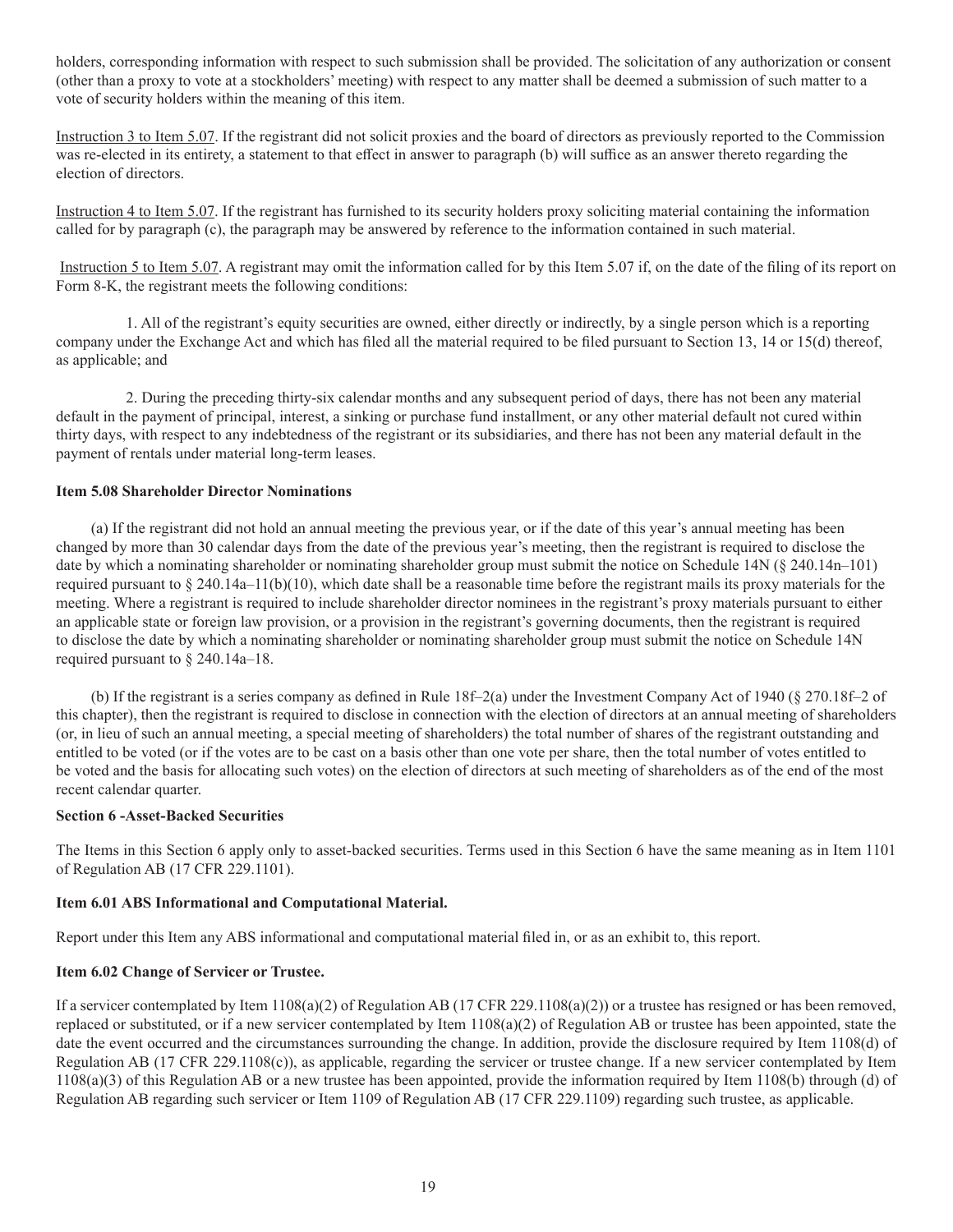holders, corresponding information with respect to such submission shall be provided. The solicitation of any authorization or consent (other than a proxy to vote at a stockholders' meeting) with respect to any matter shall be deemed a submission of such matter to a vote of security holders within the meaning of this item.

 was re-elected in its entirety, a statement to that effect in answer to paragraph (b) will suffice as an answer thereto regarding the Instruction 3 to Item 5.07. If the registrant did not solicit proxies and the board of directors as previously reported to the Commission election of directors.

Instruction 4 to Item 5.07. If the registrant has furnished to its security holders proxy soliciting material containing the information called for by paragraph (c), the paragraph may be answered by reference to the information contained in such material.

Instruction 5 to Item 5.07. A registrant may omit the information called for by this Item 5.07 if, on the date of the filing of its report on Form 8-K, the registrant meets the following conditions:

1. All of the registrant's equity securities are owned, either directly or indirectly, by a single person which is a reporting company under the Exchange Act and which has filed all the material required to be filed pursuant to Section 13, 14 or 15(d) thereof, as applicable; and

2. During the preceding thirty-six calendar months and any subsequent period of days, there has not been any material default in the payment of principal, interest, a sinking or purchase fund installment, or any other material default not cured within thirty days, with respect to any indebtedness of the registrant or its subsidiaries, and there has not been any material default in the payment of rentals under material long-term leases.

### **Item 5.08 Shareholder Director Nominations**

(a) If the registrant did not hold an annual meeting the previous year, or if the date of this year's annual meeting has been changed by more than 30 calendar days from the date of the previous year's meeting, then the registrant is required to disclose the date by which a nominating shareholder or nominating shareholder group must submit the notice on Schedule 14N (§ 240.14n–101) required pursuant to  $\S 240.14a-11(b)(10)$ , which date shall be a reasonable time before the registrant mails its proxy materials for the meeting. Where a registrant is required to include shareholder director nominees in the registrant's proxy materials pursuant to either an applicable state or foreign law provision, or a provision in the registrant's governing documents, then the registrant is required to disclose the date by which a nominating shareholder or nominating shareholder group must submit the notice on Schedule 14N required pursuant to § 240.14a–18.

(b) If the registrant is a series company as defined in Rule 18f–2(a) under the Investment Company Act of 1940 (§ 270.18f–2 of this chapter), then the registrant is required to disclose in connection with the election of directors at an annual meeting of shareholders (or, in lieu of such an annual meeting, a special meeting of shareholders) the total number of shares of the registrant outstanding and entitled to be voted (or if the votes are to be cast on a basis other than one vote per share, then the total number of votes entitled to be voted and the basis for allocating such votes) on the election of directors at such meeting of shareholders as of the end of the most recent calendar quarter.

### **Section 6 -Asset-Backed Securities**

The Items in this Section 6 apply only to asset-backed securities. Terms used in this Section 6 have the same meaning as in Item 1101 of Regulation AB (17 CFR 229.1101).

### **Item 6.01 ABS Informational and Computational Material.**

Report under this Item any ABS informational and computational material filed in, or as an exhibit to, this report.

# **Item 6.02 Change of Servicer or Trustee.**

If a servicer contemplated by Item  $1108(a)(2)$  of Regulation AB (17 CFR 229.1108(a)(2)) or a trustee has resigned or has been removed, replaced or substituted, or if a new servicer contemplated by Item 1108(a)(2) of Regulation AB or trustee has been appointed, state the date the event occurred and the circumstances surrounding the change. In addition, provide the disclosure required by Item 1108(d) of Regulation AB (17 CFR 229.1108(c)), as applicable, regarding the servicer or trustee change. If a new servicer contemplated by Item 1108(a)(3) of this Regulation AB or a new trustee has been appointed, provide the information required by Item 1108(b) through (d) of Regulation AB regarding such servicer or Item 1109 of Regulation AB (17 CFR 229.1109) regarding such trustee, as applicable.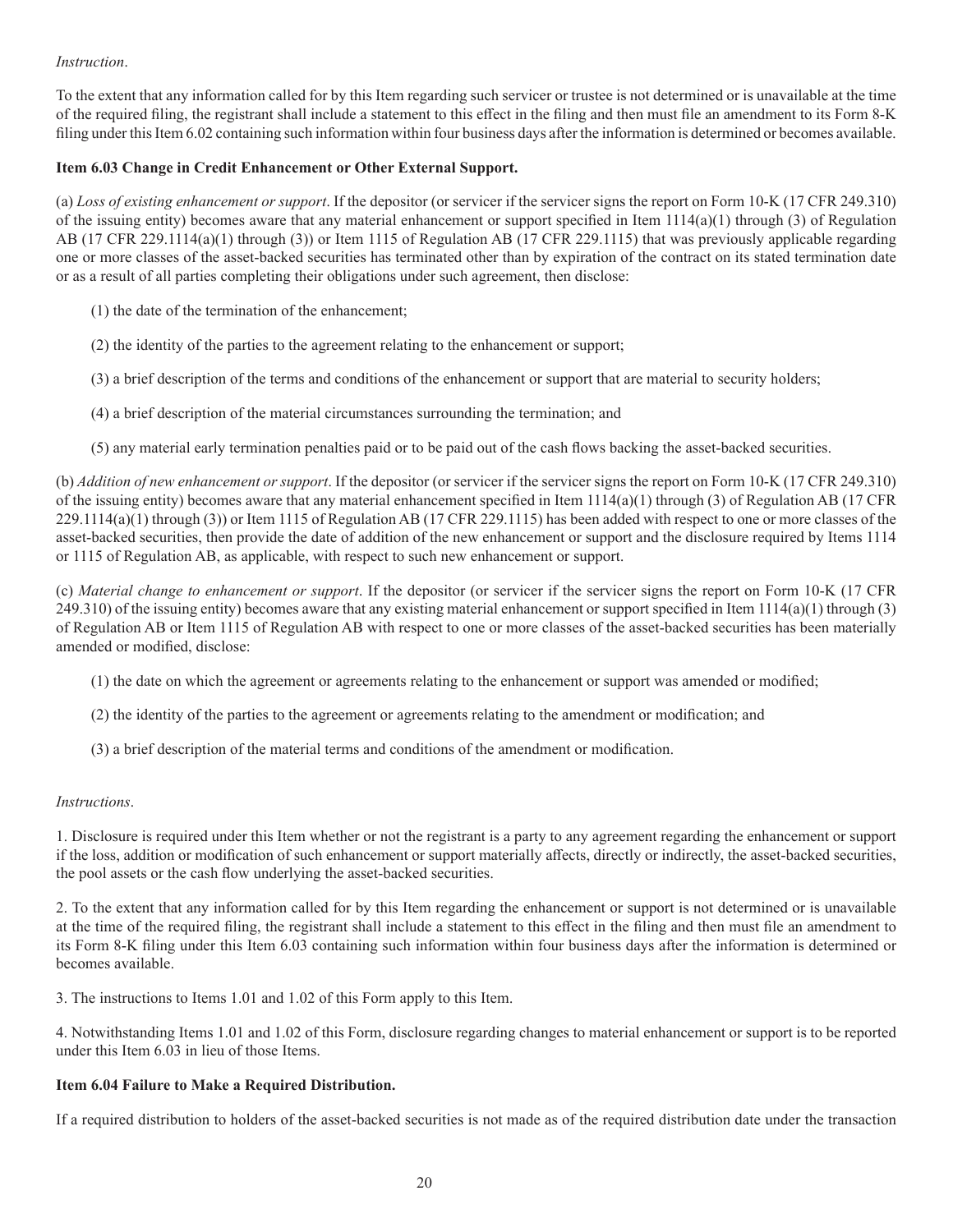### *Instruction*.

 of the required filing, the registrant shall include a statement to this effect in the filing and then must file an amendment to its Form 8-K To the extent that any information called for by this Item regarding such servicer or trustee is not determined or is unavailable at the time filing under this Item 6.02 containing such information within four business days after the information is determined or becomes available.

# **Item 6.03 Change in Credit Enhancement or Other External Support.**

(a) *Loss of existing enhancement or support*. If the depositor (or servicer if the servicer signs the report on Form 10-K (17 CFR 249.310) of the issuing entity) becomes aware that any material enhancement or support specified in Item  $1114(a)(1)$  through (3) of Regulation AB (17 CFR 229.1114(a)(1) through (3)) or Item 1115 of Regulation AB (17 CFR 229.1115) that was previously applicable regarding one or more classes of the asset-backed securities has terminated other than by expiration of the contract on its stated termination date or as a result of all parties completing their obligations under such agreement, then disclose:

- (1) the date of the termination of the enhancement;
- (2) the identity of the parties to the agreement relating to the enhancement or support;
- (3) a brief description of the terms and conditions of the enhancement or support that are material to security holders;
- (4) a brief description of the material circumstances surrounding the termination; and
- (5) any material early termination penalties paid or to be paid out of the cash flows backing the asset-backed securities.

(b) *Addition of new enhancement or support*. If the depositor (or servicer if the servicer signs the report on Form 10-K (17 CFR 249.310) of the issuing entity) becomes aware that any material enhancement specified in Item  $1114(a)(1)$  through (3) of Regulation AB (17 CFR 229.1114(a)(1) through (3)) or Item 1115 of Regulation AB (17 CFR 229.1115) has been added with respect to one or more classes of the asset-backed securities, then provide the date of addition of the new enhancement or support and the disclosure required by Items 1114 or 1115 of Regulation AB, as applicable, with respect to such new enhancement or support.

(c) *Material change to enhancement or support*. If the depositor (or servicer if the servicer signs the report on Form 10-K (17 CFR 249.310) of the issuing entity) becomes aware that any existing material enhancement or support specified in Item  $1114(a)(1)$  through (3) of Regulation AB or Item 1115 of Regulation AB with respect to one or more classes of the asset-backed securities has been materially amended or modified, disclose:

- (1) the date on which the agreement or agreements relating to the enhancement or support was amended or modified;
- $(2)$  the identity of the parties to the agreement or agreements relating to the amendment or modification; and
- (3) a brief description of the material terms and conditions of the amendment or modification.

# *Instructions*.

1. Disclosure is required under this Item whether or not the registrant is a party to any agreement regarding the enhancement or support if the loss, addition or modification of such enhancement or support materially affects, directly or indirectly, the asset-backed securities, the pool assets or the cash flow underlying the asset-backed securities.

 at the time of the required filing, the registrant shall include a statement to this effect in the filing and then must file an amendment to 2. To the extent that any information called for by this Item regarding the enhancement or support is not determined or is unavailable its Form 8-K filing under this Item 6.03 containing such information within four business days after the information is determined or becomes available.

3. The instructions to Items 1.01 and 1.02 of this Form apply to this Item.

4. Notwithstanding Items 1.01 and 1.02 of this Form, disclosure regarding changes to material enhancement or support is to be reported under this Item 6.03 in lieu of those Items.

# **Item 6.04 Failure to Make a Required Distribution.**

If a required distribution to holders of the asset-backed securities is not made as of the required distribution date under the transaction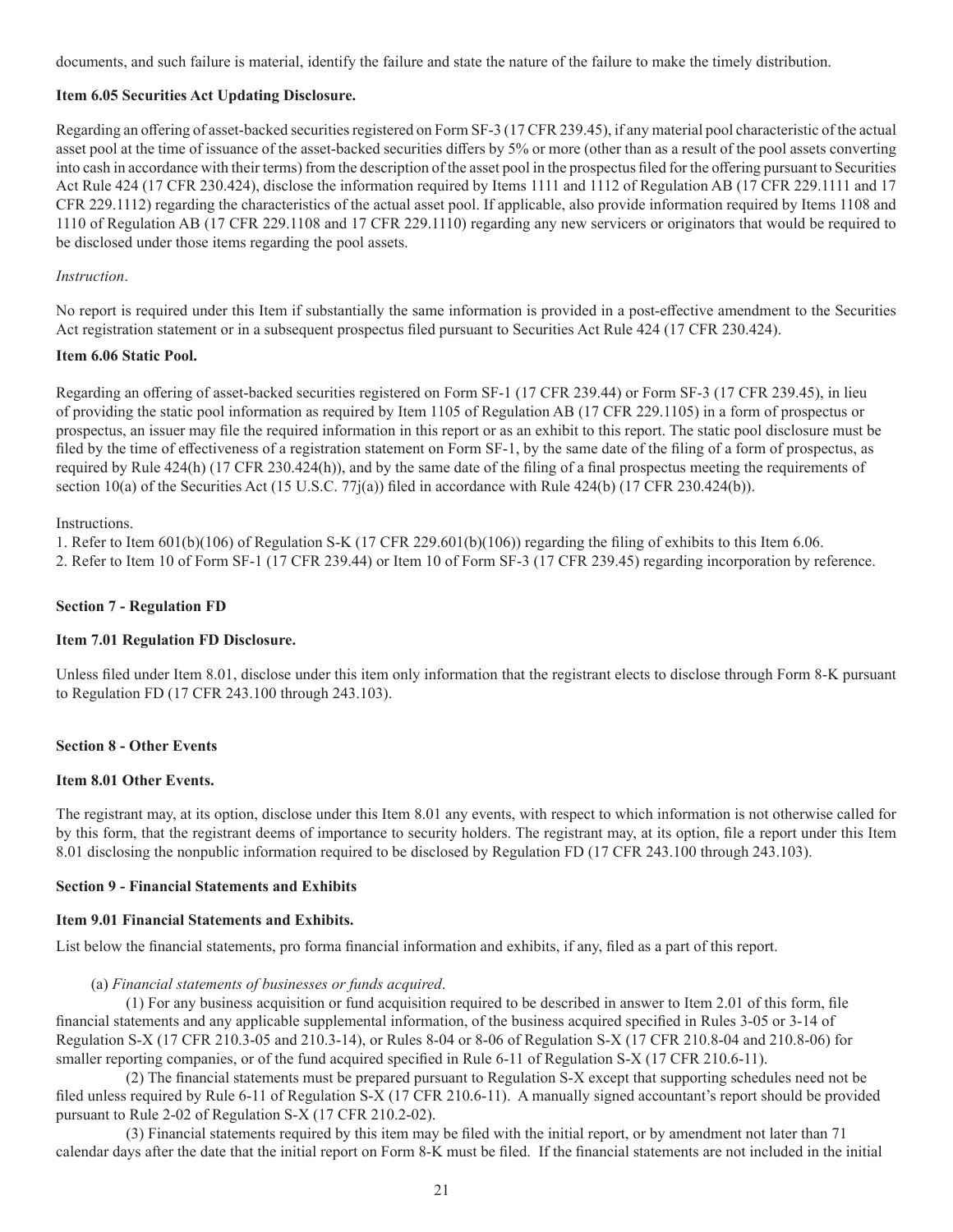documents, and such failure is material, identify the failure and state the nature of the failure to make the timely distribution.

### **Item 6.05 Securities Act Updating Disclosure.**

Regarding an offering of asset-backed securities registered on Form SF-3 (17 CFR 239.45), if any material pool characteristic of the actual asset pool at the time of issuance of the asset-backed securities differs by 5% or more (other than as a result of the pool assets converting into cash in accordance with their terms) from the description of the asset pool in the prospectus filed for the offering pursuant to Securities Act Rule 424 (17 CFR 230.424), disclose the information required by Items 1111 and 1112 of Regulation AB (17 CFR 229.1111 and 17 CFR 229.1112) regarding the characteristics of the actual asset pool. If applicable, also provide information required by Items 1108 and 1110 of Regulation AB (17 CFR 229.1108 and 17 CFR 229.1110) regarding any new servicers or originators that would be required to be disclosed under those items regarding the pool assets.

### *Instruction*.

No report is required under this Item if substantially the same information is provided in a post-effective amendment to the Securities Act registration statement or in a subsequent prospectus filed pursuant to Securities Act Rule 424 (17 CFR 230.424).

### **Item 6.06 Static Pool.**

 required by Rule 424(h) (17 CFR 230.424(h)), and by the same date of the filing of a final prospectus meeting the requirements of Regarding an offering of asset-backed securities registered on Form SF-1 (17 CFR 239.44) or Form SF-3 (17 CFR 239.45), in lieu of providing the static pool information as required by Item 1105 of Regulation AB (17 CFR 229.1105) in a form of prospectus or prospectus, an issuer may file the required information in this report or as an exhibit to this report. The static pool disclosure must be filed by the time of effectiveness of a registration statement on Form SF-1, by the same date of the filing of a form of prospectus, as section 10(a) of the Securities Act (15 U.S.C. 77j(a)) filed in accordance with Rule 424(b) (17 CFR 230.424(b)).

### Instructions.

1. Refer to Item 601(b)(106) of Regulation S-K (17 CFR 229.601(b)(106)) regarding the filing of exhibits to this Item 6.06. 2. Refer to Item 10 of Form SF-1 (17 CFR 239.44) or Item 10 of Form SF-3 (17 CFR 239.45) regarding incorporation by reference.

### **Section 7 - Regulation FD**

### **Item 7.01 Regulation FD Disclosure.**

Unless filed under Item 8.01, disclose under this item only information that the registrant elects to disclose through Form 8-K pursuant to Regulation FD (17 CFR 243.100 through 243.103).

### **Section 8 - Other Events**

### **Item 8.01 Other Events.**

The registrant may, at its option, disclose under this Item 8.01 any events, with respect to which information is not otherwise called for by this form, that the registrant deems of importance to security holders. The registrant may, at its option, file a report under this Item 8.01 disclosing the nonpublic information required to be disclosed by Regulation FD (17 CFR 243.100 through 243.103).

### **Section 9 - Financial Statements and Exhibits**

### **Item 9.01 Financial Statements and Exhibits.**

List below the financial statements, pro forma financial information and exhibits, if any, filed as a part of this report.

### (a) *Financial statements of businesses or funds acquired*.

(1) For any business acquisition or fund acquisition required to be described in answer to Item 2.01 of this form, file financial statements and any applicable supplemental information, of the business acquired specified in Rules 3-05 or 3-14 of Regulation S-X (17 CFR 210.3-05 and 210.3-14), or Rules 8-04 or 8-06 of Regulation S-X (17 CFR 210.8-04 and 210.8-06) for smaller reporting companies, or of the fund acquired specified in Rule 6-11 of Regulation S-X (17 CFR 210.6-11).

(2) The financial statements must be prepared pursuant to Regulation S-X except that supporting schedules need not be filed unless required by Rule 6-11 of Regulation S-X (17 CFR 210.6-11). A manually signed accountant's report should be provided pursuant to Rule 2-02 of Regulation S-X (17 CFR 210.2-02).

 calendar days after the date that the initial report on Form 8-K must be filed. If the financial statements are not included in the initial (3) Financial statements required by this item may be filed with the initial report, or by amendment not later than 71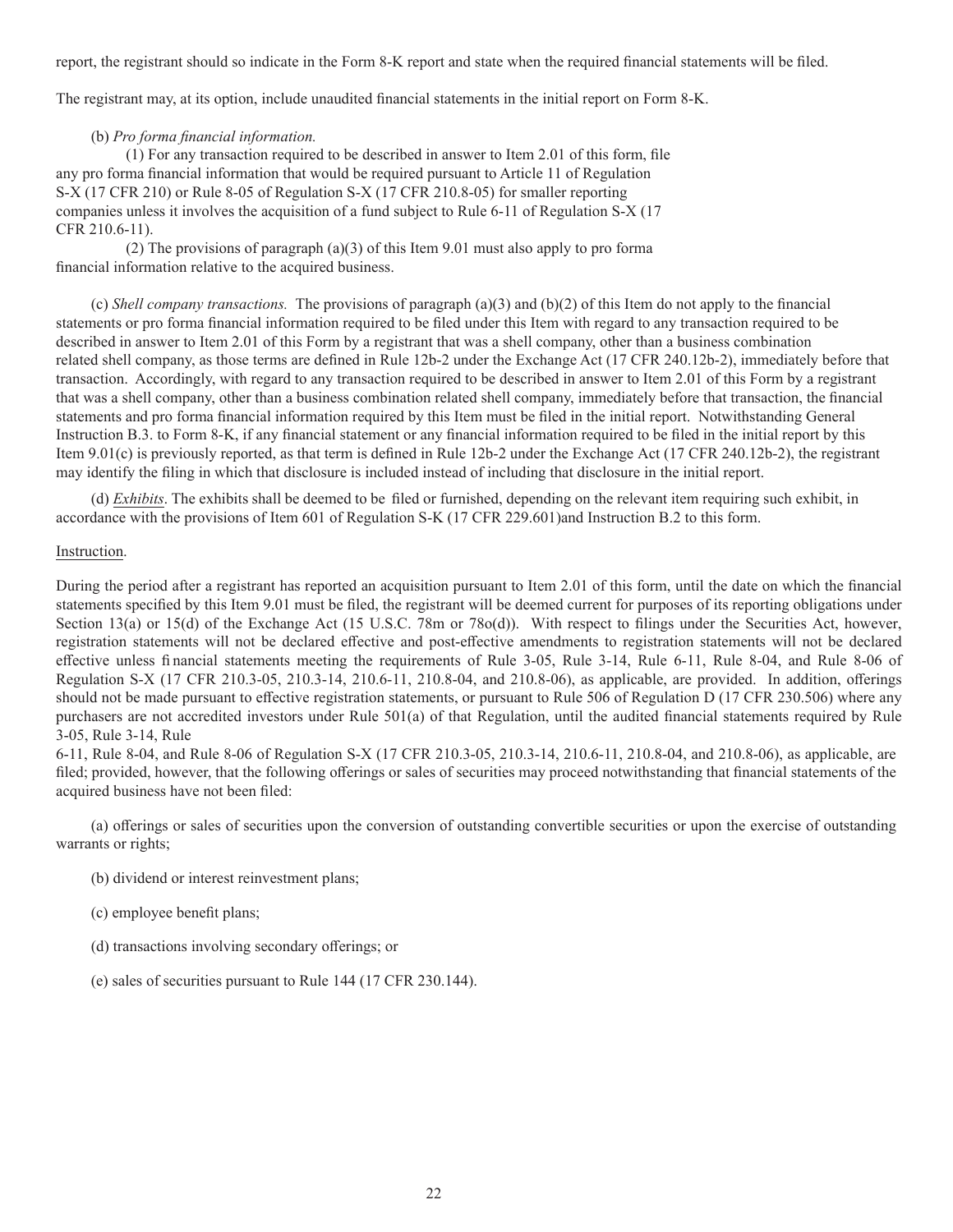report, the registrant should so indicate in the Form 8-K report and state when the required financial statements will be filed.

The registrant may, at its option, include unaudited financial statements in the initial report on Form 8-K.

#### (b) *Pro forma financial information.*

(1) For any transaction required to be described in answer to Item 2.01 of this form, file any pro forma financial information that would be required pursuant to Article 11 of Regulation S-X (17 CFR 210) or Rule 8-05 of Regulation S-X (17 CFR 210.8-05) for smaller reporting companies unless it involves the acquisition of a fund subject to Rule 6-11 of Regulation S-X (17 CFR 210.6-11).

(2) The provisions of paragraph (a)(3) of this Item 9.01 must also apply to pro forma financial information relative to the acquired business.

(c) *Shell company transactions.* The provisions of paragraph (a)(3) and (b)(2) of this Item do not apply to the financial statements or pro forma financial information required to be filed under this Item with regard to any transaction required to be described in answer to Item 2.01 of this Form by a registrant that was a shell company, other than a business combination related shell company, as those terms are defined in Rule 12b-2 under the Exchange Act (17 CFR 240.12b-2), immediately before that transaction. Accordingly, with regard to any transaction required to be described in answer to Item 2.01 of this Form by a registrant that was a shell company, other than a business combination related shell company, immediately before that transaction, the financial statements and pro forma financial information required by this Item must be filed in the initial report. Notwithstanding General Instruction B.3. to Form 8-K, if any financial statement or any financial information required to be filed in the initial report by this Item 9.01(c) is previously reported, as that term is defined in Rule 12b-2 under the Exchange Act (17 CFR 240.12b-2), the registrant may identify the filing in which that disclosure is included instead of including that disclosure in the initial report.

 (d) *Exhibits*. The exhibits shall be deemed to be filed or furnished, depending on the relevant item requiring such exhibit, in accordance with the provisions of Item 601 of Regulation S-K (17 CFR 229.601)and Instruction B.2 to this form.

#### Instruction.

During the period after a registrant has reported an acquisition pursuant to Item 2.01 of this form, until the date on which the financial statements specified by this Item 9.01 must be filed, the registrant will be deemed current for purposes of its reporting obligations under Section 13(a) or 15(d) of the Exchange Act (15 U.S.C. 78m or 78o(d)). With respect to filings under the Securities Act, however, registration statements will not be declared effective and post-effective amendments to registration statements will not be declared effective unless fi nancial statements meeting the requirements of Rule 3-05, Rule 3-14, Rule 6-11, Rule 8-04, and Rule 8-06 of Regulation S-X (17 CFR 210.3-05, 210.3-14, 210.6-11, 210.8-04, and 210.8-06), as applicable, are provided. In addition, offerings should not be made pursuant to effective registration statements, or pursuant to Rule 506 of Regulation D (17 CFR 230.506) where any purchasers are not accredited investors under Rule 501(a) of that Regulation, until the audited financial statements required by Rule 3-05, Rule 3-14, Rule

6-11, Rule 8-04, and Rule 8-06 of Regulation S-X (17 CFR 210.3-05, 210.3-14, 210.6-11, 210.8-04, and 210.8-06), as applicable, are filed; provided, however, that the following offerings or sales of securities may proceed notwithstanding that financial statements of the acquired business have not been filed:

(a) offerings or sales of securities upon the conversion of outstanding convertible securities or upon the exercise of outstanding warrants or rights;

- (b) dividend or interest reinvestment plans;
- (c) employee benefit plans;
- (d) transactions involving secondary offerings; or
- (e) sales of securities pursuant to Rule 144 (17 CFR 230.144).